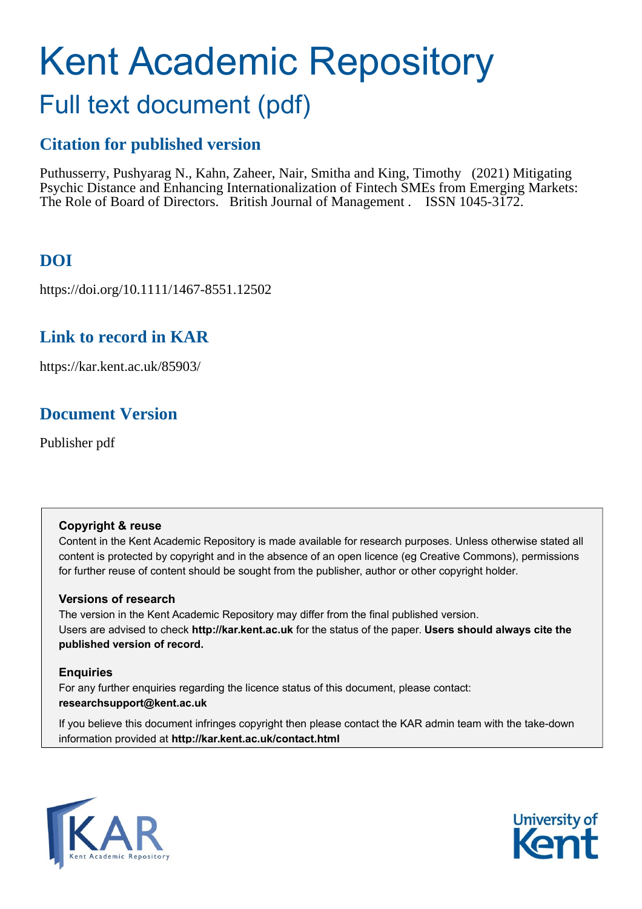# Kent Academic Repository

# Full text document (pdf)

# **Citation for published version**

Puthusserry, Pushyarag N., Kahn, Zaheer, Nair, Smitha and King, Timothy (2021) Mitigating Psychic Distance and Enhancing Internationalization of Fintech SMEs from Emerging Markets: The Role of Board of Directors. British Journal of Management . ISSN 1045-3172.

# **DOI**

https://doi.org/10.1111/1467-8551.12502

## **Link to record in KAR**

https://kar.kent.ac.uk/85903/

# **Document Version**

Publisher pdf

#### **Copyright & reuse**

Content in the Kent Academic Repository is made available for research purposes. Unless otherwise stated all content is protected by copyright and in the absence of an open licence (eg Creative Commons), permissions for further reuse of content should be sought from the publisher, author or other copyright holder.

#### **Versions of research**

The version in the Kent Academic Repository may differ from the final published version. Users are advised to check **http://kar.kent.ac.uk** for the status of the paper. **Users should always cite the published version of record.**

#### **Enquiries**

For any further enquiries regarding the licence status of this document, please contact: **researchsupport@kent.ac.uk**

If you believe this document infringes copyright then please contact the KAR admin team with the take-down information provided at **http://kar.kent.ac.uk/contact.html**



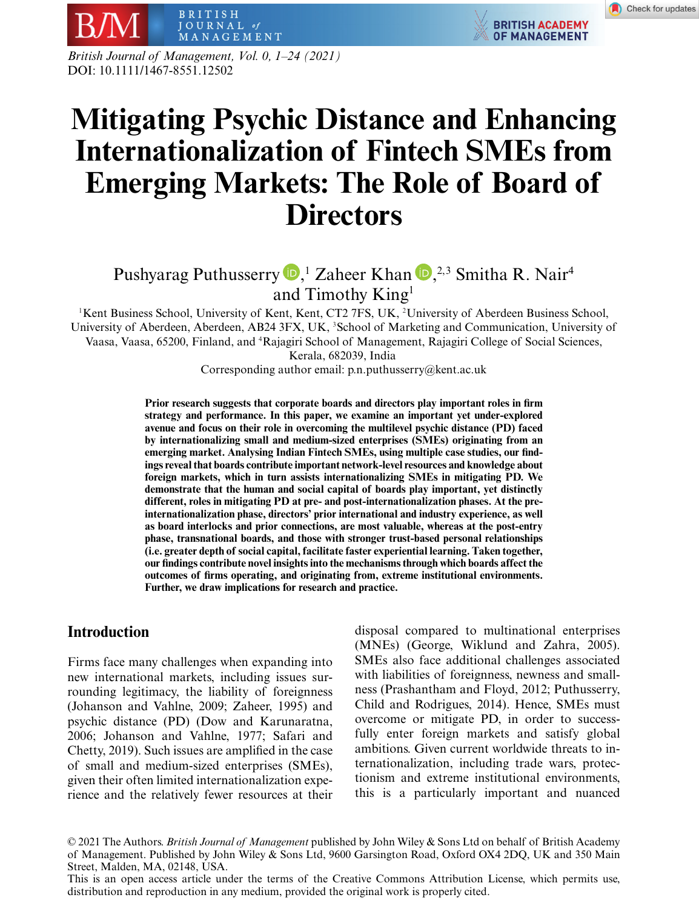

*British Journal of Management, Vol. 0, 1–24 (2021)* DOI: 10.1111/1467-8551.12502

# **Mitigating Psychic Distance and Enhancing Internationalization of Fintech SMEs from Emerging Markets: The Role of Board of Directors**

### Pushyarag Puthusserry  $\mathbf{D}$ [,](https://orcid.org/0000-0001-5538-3123)<sup>1</sup> Zaheer Khan  $\mathbf{D}$ ,<sup>2,3</sup> Smitha R. Nair<sup>4</sup> and Timothy King1

<sup>1</sup>Kent Business School, University of Kent, Kent, CT2 7FS, UK, <sup>2</sup>University of Aberdeen Business School, University of Aberdeen, Aberdeen, AB24 3FX, UK, <sup>3</sup>School of Marketing and Communication, University of Vaasa, Vaasa, 65200, Finland, and <sup>4</sup> Rajagiri School of Management, Rajagiri College of Social Sciences, Kerala, 682039, India

Corresponding author email: p.n.puthusserry@kent.ac.uk

**Prior research suggests that corporate boards and directors play important roles in firm strategy and performance. In this paper, we examine an important yet under-explored avenue and focus on their role in overcoming the multilevel psychic distance (PD) faced by internationalizing small and medium-sized enterprises (SMEs) originating from an emerging market. Analysing Indian Fintech SMEs, using multiple case studies, our findings reveal that boards contribute important network-level resources and knowledge about foreign markets, which in turn assists internationalizing SMEs in mitigating PD. We demonstrate that the human and social capital of boards play important, yet distinctly different, roles in mitigating PD at pre- and post-internationalization phases. At the preinternationalization phase, directors' prior international and industry experience, as well as board interlocks and prior connections, are most valuable, whereas at the post-entry phase, transnational boards, and those with stronger trust-based personal relationships (i.e. greater depth of social capital, facilitate faster experiential learning. Taken together, our findings contribute novel insights into the mechanisms through which boards affect the outcomes of firms operating, and originating from, extreme institutional environments. Further, we draw implications for research and practice.**

#### **Introduction**

Firms face many challenges when expanding into new international markets, including issues surrounding legitimacy, the liability of foreignness (Johanson and Vahlne, 2009; Zaheer, 1995) and psychic distance (PD) (Dow and Karunaratna, 2006; Johanson and Vahlne, 1977; Safari and Chetty, 2019). Such issues are amplified in the case of small and medium-sized enterprises (SMEs), given their often limited internationalization experience and the relatively fewer resources at their disposal compared to multinational enterprises (MNEs) (George, Wiklund and Zahra, 2005). SMEs also face additional challenges associated with liabilities of foreignness, newness and smallness (Prashantham and Floyd, 2012; Puthusserry, Child and Rodrigues, 2014). Hence, SMEs must overcome or mitigate PD, in order to successfully enter foreign markets and satisfy global ambitions. Given current worldwide threats to internationalization, including trade wars, protectionism and extreme institutional environments, this is a particularly important and nuanced

© 2021 The Authors. *British Journal of Management* published by John Wiley & Sons Ltd on behalf of British Academy of Management. Published by John Wiley & Sons Ltd, 9600 Garsington Road, Oxford OX4 2DQ, UK and 350 Main Street, Malden, MA, 02148, USA.

This is an open access article under the terms of the [Creative Commons Attribution](http://creativecommons.org/licenses/by/4.0/) License, which permits use, distribution and reproduction in any medium, provided the original work is properly cited.

**BRITISH ACADEMY** 

OF MANAGEMENT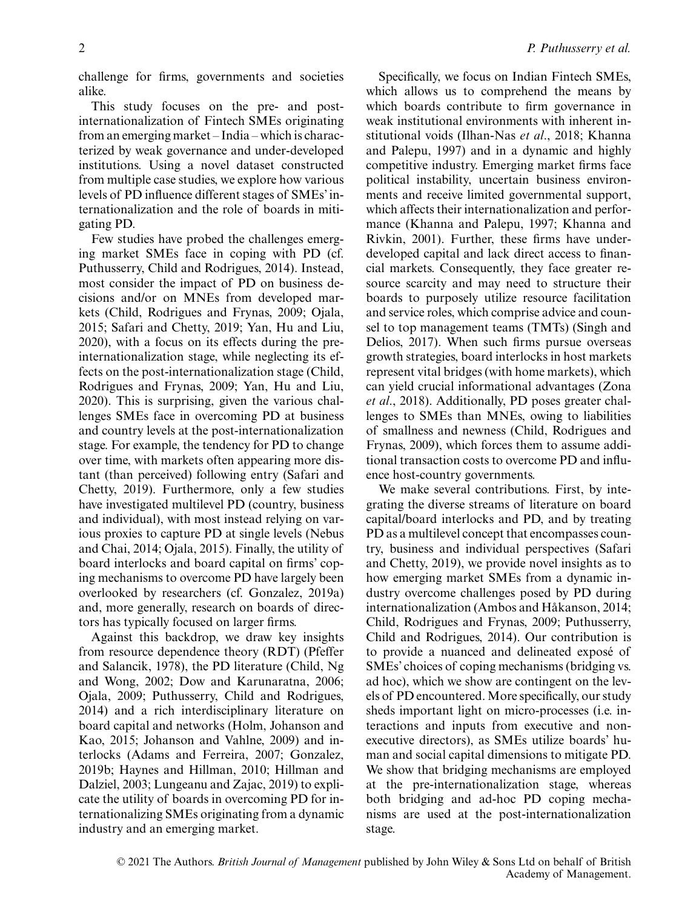challenge for firms, governments and societies alike.

This study focuses on the pre- and postinternationalization of Fintech SMEs originating from an emerging market – India – which is characterized by weak governance and under-developed institutions. Using a novel dataset constructed from multiple case studies, we explore how various levels of PD influence different stages of SMEs' internationalization and the role of boards in mitigating PD.

Few studies have probed the challenges emerging market SMEs face in coping with PD (cf. Puthusserry, Child and Rodrigues, 2014). Instead, most consider the impact of PD on business decisions and/or on MNEs from developed markets (Child, Rodrigues and Frynas, 2009; Ojala, 2015; Safari and Chetty, 2019; Yan, Hu and Liu, 2020), with a focus on its effects during the preinternationalization stage, while neglecting its effects on the post-internationalization stage (Child, Rodrigues and Frynas, 2009; Yan, Hu and Liu, 2020). This is surprising, given the various challenges SMEs face in overcoming PD at business and country levels at the post-internationalization stage. For example, the tendency for PD to change over time, with markets often appearing more distant (than perceived) following entry (Safari and Chetty, 2019). Furthermore, only a few studies have investigated multilevel PD (country, business and individual), with most instead relying on various proxies to capture PD at single levels (Nebus and Chai, 2014; Ojala, 2015). Finally, the utility of board interlocks and board capital on firms' coping mechanisms to overcome PD have largely been overlooked by researchers (cf. Gonzalez, 2019a) and, more generally, research on boards of directors has typically focused on larger firms.

Against this backdrop, we draw key insights from resource dependence theory (RDT) (Pfeffer and Salancik, 1978), the PD literature (Child, Ng and Wong, 2002; Dow and Karunaratna, 2006; Ojala, 2009; Puthusserry, Child and Rodrigues, 2014) and a rich interdisciplinary literature on board capital and networks (Holm, Johanson and Kao, 2015; Johanson and Vahlne, 2009) and interlocks (Adams and Ferreira, 2007; Gonzalez, 2019b; Haynes and Hillman, 2010; Hillman and Dalziel, 2003; Lungeanu and Zajac, 2019) to explicate the utility of boards in overcoming PD for internationalizing SMEs originating from a dynamic industry and an emerging market.

Specifically, we focus on Indian Fintech SMEs, which allows us to comprehend the means by which boards contribute to firm governance in weak institutional environments with inherent institutional voids (Ilhan-Nas *et al*., 2018; Khanna and Palepu, 1997) and in a dynamic and highly competitive industry. Emerging market firms face political instability, uncertain business environments and receive limited governmental support, which affects their internationalization and performance (Khanna and Palepu, 1997; Khanna and Rivkin, 2001). Further, these firms have underdeveloped capital and lack direct access to financial markets. Consequently, they face greater resource scarcity and may need to structure their boards to purposely utilize resource facilitation and service roles, which comprise advice and counsel to top management teams (TMTs) (Singh and Delios, 2017). When such firms pursue overseas growth strategies, board interlocks in host markets represent vital bridges (with home markets), which can yield crucial informational advantages (Zona *et al*., 2018). Additionally, PD poses greater challenges to SMEs than MNEs, owing to liabilities of smallness and newness (Child, Rodrigues and Frynas, 2009), which forces them to assume additional transaction costs to overcome PD and influence host-country governments.

We make several contributions. First, by integrating the diverse streams of literature on board capital/board interlocks and PD, and by treating PD as a multilevel concept that encompasses country, business and individual perspectives (Safari and Chetty, 2019), we provide novel insights as to how emerging market SMEs from a dynamic industry overcome challenges posed by PD during internationalization (Ambos and Håkanson, 2014; Child, Rodrigues and Frynas, 2009; Puthusserry, Child and Rodrigues, 2014). Our contribution is to provide a nuanced and delineated exposé of SMEs' choices of coping mechanisms (bridging vs. ad hoc), which we show are contingent on the levels of PD encountered. More specifically, our study sheds important light on micro-processes (i.e. interactions and inputs from executive and nonexecutive directors), as SMEs utilize boards' human and social capital dimensions to mitigate PD. We show that bridging mechanisms are employed at the pre-internationalization stage, whereas both bridging and ad-hoc PD coping mechanisms are used at the post-internationalization stage.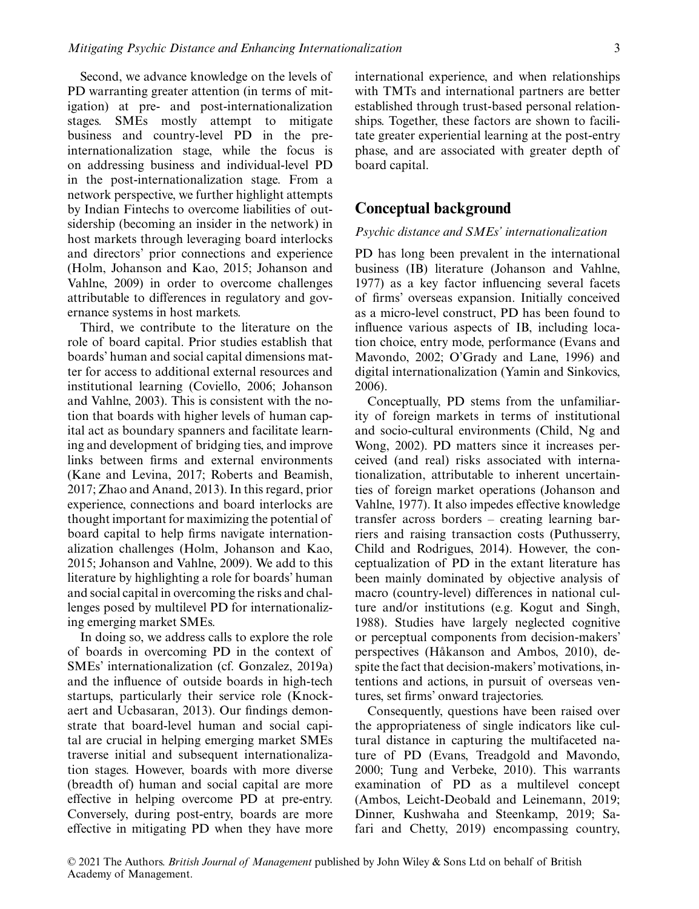Second, we advance knowledge on the levels of PD warranting greater attention (in terms of mitigation) at pre- and post-internationalization stages. SMEs mostly attempt to mitigate business and country-level PD in the preinternationalization stage, while the focus is on addressing business and individual-level PD in the post-internationalization stage. From a network perspective, we further highlight attempts by Indian Fintechs to overcome liabilities of outsidership (becoming an insider in the network) in host markets through leveraging board interlocks and directors' prior connections and experience (Holm, Johanson and Kao, 2015; Johanson and Vahlne, 2009) in order to overcome challenges attributable to differences in regulatory and governance systems in host markets.

Third, we contribute to the literature on the role of board capital. Prior studies establish that boards' human and social capital dimensions matter for access to additional external resources and institutional learning (Coviello, 2006; Johanson and Vahlne, 2003). This is consistent with the notion that boards with higher levels of human capital act as boundary spanners and facilitate learning and development of bridging ties, and improve links between firms and external environments (Kane and Levina, 2017; Roberts and Beamish, 2017; Zhao and Anand, 2013). In this regard, prior experience, connections and board interlocks are thought important for maximizing the potential of board capital to help firms navigate internationalization challenges (Holm, Johanson and Kao, 2015; Johanson and Vahlne, 2009). We add to this literature by highlighting a role for boards' human and social capital in overcoming the risks and challenges posed by multilevel PD for internationalizing emerging market SMEs.

In doing so, we address calls to explore the role of boards in overcoming PD in the context of SMEs' internationalization (cf. Gonzalez, 2019a) and the influence of outside boards in high-tech startups, particularly their service role (Knockaert and Ucbasaran, 2013). Our findings demonstrate that board-level human and social capital are crucial in helping emerging market SMEs traverse initial and subsequent internationalization stages. However, boards with more diverse (breadth of) human and social capital are more effective in helping overcome PD at pre-entry. Conversely, during post-entry, boards are more effective in mitigating PD when they have more international experience, and when relationships with TMTs and international partners are better established through trust-based personal relationships. Together, these factors are shown to facilitate greater experiential learning at the post-entry phase, and are associated with greater depth of board capital.

#### **Conceptual background**

#### *Psychic distance and SMEs' internationalization*

PD has long been prevalent in the international business (IB) literature (Johanson and Vahlne, 1977) as a key factor influencing several facets of firms' overseas expansion. Initially conceived as a micro-level construct, PD has been found to influence various aspects of IB, including location choice, entry mode, performance (Evans and Mavondo, 2002; O'Grady and Lane, 1996) and digital internationalization (Yamin and Sinkovics, 2006).

Conceptually, PD stems from the unfamiliarity of foreign markets in terms of institutional and socio-cultural environments (Child, Ng and Wong, 2002). PD matters since it increases perceived (and real) risks associated with internationalization, attributable to inherent uncertainties of foreign market operations (Johanson and Vahlne, 1977). It also impedes effective knowledge transfer across borders – creating learning barriers and raising transaction costs (Puthusserry, Child and Rodrigues, 2014). However, the conceptualization of PD in the extant literature has been mainly dominated by objective analysis of macro (country-level) differences in national culture and/or institutions (e.g. Kogut and Singh, 1988). Studies have largely neglected cognitive or perceptual components from decision-makers' perspectives (Håkanson and Ambos, 2010), despite the fact that decision-makers'motivations, intentions and actions, in pursuit of overseas ventures, set firms' onward trajectories.

Consequently, questions have been raised over the appropriateness of single indicators like cultural distance in capturing the multifaceted nature of PD (Evans, Treadgold and Mavondo, 2000; Tung and Verbeke, 2010). This warrants examination of PD as a multilevel concept (Ambos, Leicht-Deobald and Leinemann, 2019; Dinner, Kushwaha and Steenkamp, 2019; Safari and Chetty, 2019) encompassing country,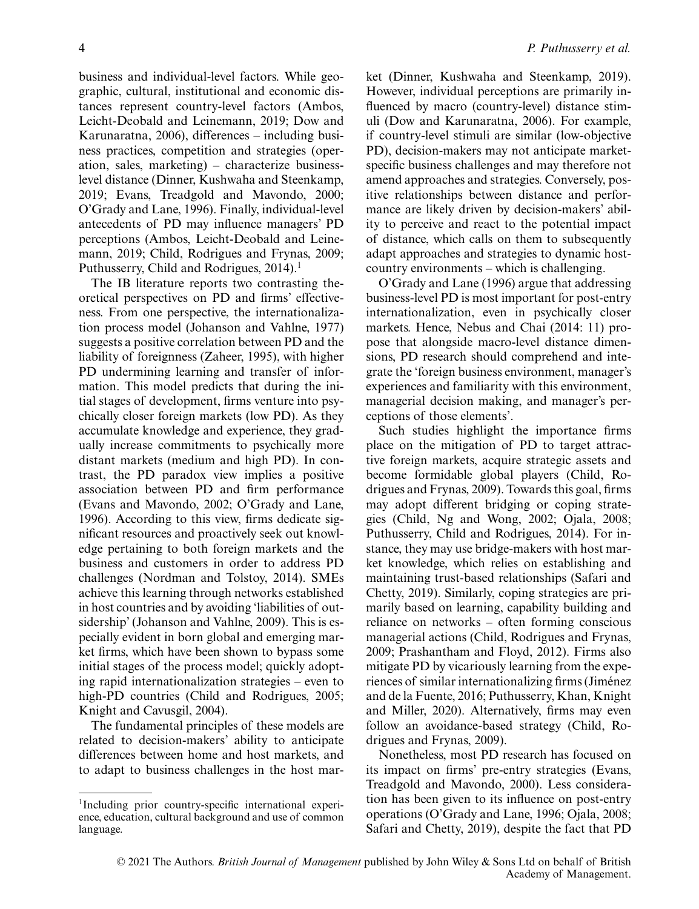business and individual-level factors. While geographic, cultural, institutional and economic distances represent country-level factors (Ambos, Leicht-Deobald and Leinemann, 2019; Dow and Karunaratna, 2006), differences – including business practices, competition and strategies (operation, sales, marketing) – characterize businesslevel distance (Dinner, Kushwaha and Steenkamp, 2019; Evans, Treadgold and Mavondo, 2000; O'Grady and Lane, 1996). Finally, individual-level antecedents of PD may influence managers' PD perceptions (Ambos, Leicht-Deobald and Leinemann, 2019; Child, Rodrigues and Frynas, 2009; Puthusserry, Child and Rodrigues,  $2014$ ).<sup>1</sup>

The IB literature reports two contrasting theoretical perspectives on PD and firms' effectiveness. From one perspective, the internationalization process model (Johanson and Vahlne, 1977) suggests a positive correlation between PD and the liability of foreignness (Zaheer, 1995), with higher PD undermining learning and transfer of information. This model predicts that during the initial stages of development, firms venture into psychically closer foreign markets (low PD). As they accumulate knowledge and experience, they gradually increase commitments to psychically more distant markets (medium and high PD). In contrast, the PD paradox view implies a positive association between PD and firm performance (Evans and Mavondo, 2002; O'Grady and Lane, 1996). According to this view, firms dedicate significant resources and proactively seek out knowledge pertaining to both foreign markets and the business and customers in order to address PD challenges (Nordman and Tolstoy, 2014). SMEs achieve this learning through networks established in host countries and by avoiding 'liabilities of outsidership' (Johanson and Vahlne, 2009). This is especially evident in born global and emerging market firms, which have been shown to bypass some initial stages of the process model; quickly adopting rapid internationalization strategies – even to high-PD countries (Child and Rodrigues, 2005; Knight and Cavusgil, 2004).

The fundamental principles of these models are related to decision-makers' ability to anticipate differences between home and host markets, and to adapt to business challenges in the host market (Dinner, Kushwaha and Steenkamp, 2019). However, individual perceptions are primarily influenced by macro (country-level) distance stimuli (Dow and Karunaratna, 2006). For example, if country-level stimuli are similar (low-objective PD), decision-makers may not anticipate marketspecific business challenges and may therefore not amend approaches and strategies. Conversely, positive relationships between distance and performance are likely driven by decision-makers' ability to perceive and react to the potential impact of distance, which calls on them to subsequently adapt approaches and strategies to dynamic hostcountry environments – which is challenging.

O'Grady and Lane (1996) argue that addressing business-level PD is most important for post-entry internationalization, even in psychically closer markets. Hence, Nebus and Chai (2014: 11) propose that alongside macro-level distance dimensions, PD research should comprehend and integrate the 'foreign business environment, manager's experiences and familiarity with this environment, managerial decision making, and manager's perceptions of those elements'.

Such studies highlight the importance firms place on the mitigation of PD to target attractive foreign markets, acquire strategic assets and become formidable global players (Child, Rodrigues and Frynas, 2009). Towards this goal, firms may adopt different bridging or coping strategies (Child, Ng and Wong, 2002; Ojala, 2008; Puthusserry, Child and Rodrigues, 2014). For instance, they may use bridge-makers with host market knowledge, which relies on establishing and maintaining trust-based relationships (Safari and Chetty, 2019). Similarly, coping strategies are primarily based on learning, capability building and reliance on networks – often forming conscious managerial actions (Child, Rodrigues and Frynas, 2009; Prashantham and Floyd, 2012). Firms also mitigate PD by vicariously learning from the experiences of similar internationalizing firms (Jiménez and de la Fuente, 2016; Puthusserry, Khan, Knight and Miller, 2020). Alternatively, firms may even follow an avoidance-based strategy (Child, Rodrigues and Frynas, 2009).

Nonetheless, most PD research has focused on its impact on firms' pre-entry strategies (Evans, Treadgold and Mavondo, 2000). Less consideration has been given to its influence on post-entry operations (O'Grady and Lane, 1996; Ojala, 2008; Safari and Chetty, 2019), despite the fact that PD

<sup>1</sup>Including prior country-specific international experience, education, cultural background and use of common language.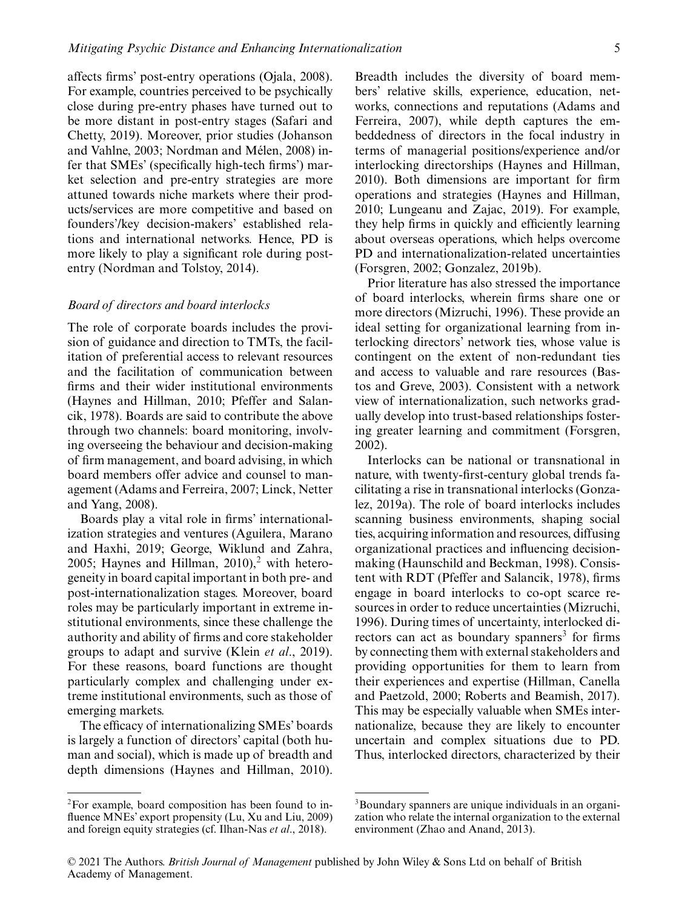affects firms' post-entry operations (Ojala, 2008). For example, countries perceived to be psychically close during pre-entry phases have turned out to be more distant in post-entry stages (Safari and Chetty, 2019). Moreover, prior studies (Johanson and Vahlne, 2003; Nordman and Mélen, 2008) infer that SMEs' (specifically high-tech firms') market selection and pre-entry strategies are more attuned towards niche markets where their products/services are more competitive and based on founders'/key decision-makers' established relations and international networks. Hence, PD is more likely to play a significant role during postentry (Nordman and Tolstoy, 2014).

#### *Board of directors and board interlocks*

The role of corporate boards includes the provision of guidance and direction to TMTs, the facilitation of preferential access to relevant resources and the facilitation of communication between firms and their wider institutional environments (Haynes and Hillman, 2010; Pfeffer and Salancik, 1978). Boards are said to contribute the above through two channels: board monitoring, involving overseeing the behaviour and decision-making of firm management, and board advising, in which board members offer advice and counsel to management (Adams and Ferreira, 2007; Linck, Netter and Yang, 2008).

Boards play a vital role in firms' internationalization strategies and ventures (Aguilera, Marano and Haxhi, 2019; George, Wiklund and Zahra, 2005; Haynes and Hillman,  $2010$ <sup>2</sup> with heterogeneity in board capital important in both pre- and post-internationalization stages. Moreover, board roles may be particularly important in extreme institutional environments, since these challenge the authority and ability of firms and core stakeholder groups to adapt and survive (Klein *et al*., 2019). For these reasons, board functions are thought particularly complex and challenging under extreme institutional environments, such as those of emerging markets.

The efficacy of internationalizing SMEs' boards is largely a function of directors' capital (both human and social), which is made up of breadth and depth dimensions (Haynes and Hillman, 2010).

Breadth includes the diversity of board members' relative skills, experience, education, networks, connections and reputations (Adams and Ferreira, 2007), while depth captures the embeddedness of directors in the focal industry in terms of managerial positions/experience and/or interlocking directorships (Haynes and Hillman, 2010). Both dimensions are important for firm operations and strategies (Haynes and Hillman, 2010; Lungeanu and Zajac, 2019). For example, they help firms in quickly and efficiently learning about overseas operations, which helps overcome PD and internationalization-related uncertainties (Forsgren, 2002; Gonzalez, 2019b).

Prior literature has also stressed the importance of board interlocks, wherein firms share one or more directors (Mizruchi, 1996). These provide an ideal setting for organizational learning from interlocking directors' network ties, whose value is contingent on the extent of non-redundant ties and access to valuable and rare resources (Bastos and Greve, 2003). Consistent with a network view of internationalization, such networks gradually develop into trust-based relationships fostering greater learning and commitment (Forsgren, 2002).

Interlocks can be national or transnational in nature, with twenty-first-century global trends facilitating a rise in transnational interlocks (Gonzalez, 2019a). The role of board interlocks includes scanning business environments, shaping social ties, acquiring information and resources, diffusing organizational practices and influencing decisionmaking (Haunschild and Beckman, 1998). Consistent with RDT (Pfeffer and Salancik, 1978), firms engage in board interlocks to co-opt scarce resources in order to reduce uncertainties (Mizruchi, 1996). During times of uncertainty, interlocked directors can act as boundary spanners<sup>3</sup> for firms by connecting them with external stakeholders and providing opportunities for them to learn from their experiences and expertise (Hillman, Canella and Paetzold, 2000; Roberts and Beamish, 2017). This may be especially valuable when SMEs internationalize, because they are likely to encounter uncertain and complex situations due to PD. Thus, interlocked directors, characterized by their

 ${}^{2}$ For example, board composition has been found to influence MNEs' export propensity (Lu, Xu and Liu, 2009) and foreign equity strategies (cf. Ilhan-Nas *et al*., 2018).

<sup>3</sup>Boundary spanners are unique individuals in an organization who relate the internal organization to the external environment (Zhao and Anand, 2013).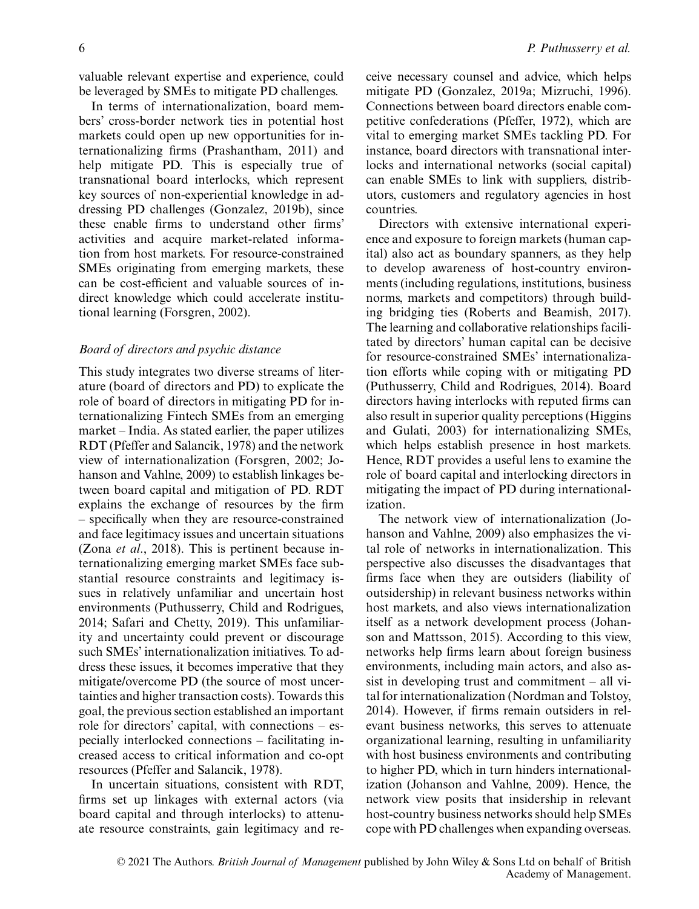valuable relevant expertise and experience, could be leveraged by SMEs to mitigate PD challenges.

In terms of internationalization, board members' cross-border network ties in potential host markets could open up new opportunities for internationalizing firms (Prashantham, 2011) and help mitigate PD. This is especially true of transnational board interlocks, which represent key sources of non-experiential knowledge in addressing PD challenges (Gonzalez, 2019b), since these enable firms to understand other firms' activities and acquire market-related information from host markets. For resource-constrained SMEs originating from emerging markets, these can be cost-efficient and valuable sources of indirect knowledge which could accelerate institutional learning (Forsgren, 2002).

#### *Board of directors and psychic distance*

This study integrates two diverse streams of literature (board of directors and PD) to explicate the role of board of directors in mitigating PD for internationalizing Fintech SMEs from an emerging market – India. As stated earlier, the paper utilizes RDT (Pfeffer and Salancik, 1978) and the network view of internationalization (Forsgren, 2002; Johanson and Vahlne, 2009) to establish linkages between board capital and mitigation of PD. RDT explains the exchange of resources by the firm – specifically when they are resource-constrained and face legitimacy issues and uncertain situations (Zona *et al*., 2018). This is pertinent because internationalizing emerging market SMEs face substantial resource constraints and legitimacy issues in relatively unfamiliar and uncertain host environments (Puthusserry, Child and Rodrigues, 2014; Safari and Chetty, 2019). This unfamiliarity and uncertainty could prevent or discourage such SMEs' internationalization initiatives. To address these issues, it becomes imperative that they mitigate/overcome PD (the source of most uncertainties and higher transaction costs). Towards this goal, the previous section established an important role for directors' capital, with connections – especially interlocked connections – facilitating increased access to critical information and co-opt resources (Pfeffer and Salancik, 1978).

In uncertain situations, consistent with RDT, firms set up linkages with external actors (via board capital and through interlocks) to attenuate resource constraints, gain legitimacy and receive necessary counsel and advice, which helps mitigate PD (Gonzalez, 2019a; Mizruchi, 1996). Connections between board directors enable competitive confederations (Pfeffer, 1972), which are vital to emerging market SMEs tackling PD. For instance, board directors with transnational interlocks and international networks (social capital) can enable SMEs to link with suppliers, distributors, customers and regulatory agencies in host countries.

Directors with extensive international experience and exposure to foreign markets (human capital) also act as boundary spanners, as they help to develop awareness of host-country environments (including regulations, institutions, business norms, markets and competitors) through building bridging ties (Roberts and Beamish, 2017). The learning and collaborative relationships facilitated by directors' human capital can be decisive for resource-constrained SMEs' internationalization efforts while coping with or mitigating PD (Puthusserry, Child and Rodrigues, 2014). Board directors having interlocks with reputed firms can also result in superior quality perceptions (Higgins and Gulati, 2003) for internationalizing SMEs, which helps establish presence in host markets. Hence, RDT provides a useful lens to examine the role of board capital and interlocking directors in mitigating the impact of PD during internationalization.

The network view of internationalization (Johanson and Vahlne, 2009) also emphasizes the vital role of networks in internationalization. This perspective also discusses the disadvantages that firms face when they are outsiders (liability of outsidership) in relevant business networks within host markets, and also views internationalization itself as a network development process (Johanson and Mattsson, 2015). According to this view, networks help firms learn about foreign business environments, including main actors, and also assist in developing trust and commitment – all vital for internationalization (Nordman and Tolstoy, 2014). However, if firms remain outsiders in relevant business networks, this serves to attenuate organizational learning, resulting in unfamiliarity with host business environments and contributing to higher PD, which in turn hinders internationalization (Johanson and Vahlne, 2009). Hence, the network view posits that insidership in relevant host-country business networks should help SMEs cope with PD challenges when expanding overseas.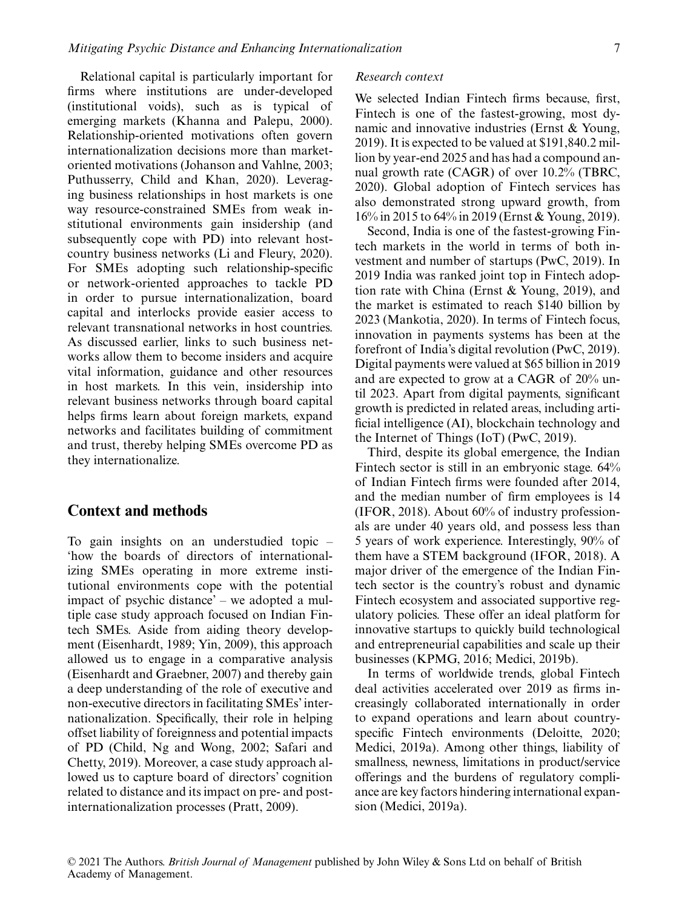Relational capital is particularly important for firms where institutions are under-developed (institutional voids), such as is typical of emerging markets (Khanna and Palepu, 2000). Relationship-oriented motivations often govern internationalization decisions more than marketoriented motivations (Johanson and Vahlne, 2003; Puthusserry, Child and Khan, 2020). Leveraging business relationships in host markets is one way resource-constrained SMEs from weak institutional environments gain insidership (and subsequently cope with PD) into relevant hostcountry business networks (Li and Fleury, 2020). For SMEs adopting such relationship-specific or network-oriented approaches to tackle PD in order to pursue internationalization, board capital and interlocks provide easier access to relevant transnational networks in host countries. As discussed earlier, links to such business networks allow them to become insiders and acquire vital information, guidance and other resources in host markets. In this vein, insidership into relevant business networks through board capital helps firms learn about foreign markets, expand networks and facilitates building of commitment and trust, thereby helping SMEs overcome PD as they internationalize.

#### **Context and methods**

To gain insights on an understudied topic – 'how the boards of directors of internationalizing SMEs operating in more extreme institutional environments cope with the potential impact of psychic distance' – we adopted a multiple case study approach focused on Indian Fintech SMEs. Aside from aiding theory development (Eisenhardt, 1989; Yin, 2009), this approach allowed us to engage in a comparative analysis (Eisenhardt and Graebner, 2007) and thereby gain a deep understanding of the role of executive and non-executive directors in facilitating SMEs' internationalization. Specifically, their role in helping offset liability of foreignness and potential impacts of PD (Child, Ng and Wong, 2002; Safari and Chetty, 2019). Moreover, a case study approach allowed us to capture board of directors' cognition related to distance and its impact on pre- and postinternationalization processes (Pratt, 2009).

#### *Research context*

We selected Indian Fintech firms because, first, Fintech is one of the fastest-growing, most dynamic and innovative industries (Ernst & Young, 2019). It is expected to be valued at \$191,840.2 million by year-end 2025 and has had a compound annual growth rate (CAGR) of over 10.2% (TBRC, 2020). Global adoption of Fintech services has also demonstrated strong upward growth, from 16% in 2015 to 64% in 2019 (Ernst & Young, 2019).

Second, India is one of the fastest-growing Fintech markets in the world in terms of both investment and number of startups (PwC, 2019). In 2019 India was ranked joint top in Fintech adoption rate with China (Ernst & Young, 2019), and the market is estimated to reach \$140 billion by 2023 (Mankotia, 2020). In terms of Fintech focus, innovation in payments systems has been at the forefront of India's digital revolution (PwC, 2019). Digital payments were valued at \$65 billion in 2019 and are expected to grow at a CAGR of 20% until 2023. Apart from digital payments, significant growth is predicted in related areas, including artificial intelligence (AI), blockchain technology and the Internet of Things (IoT) (PwC, 2019).

Third, despite its global emergence, the Indian Fintech sector is still in an embryonic stage. 64% of Indian Fintech firms were founded after 2014, and the median number of firm employees is 14 (IFOR, 2018). About 60% of industry professionals are under 40 years old, and possess less than 5 years of work experience. Interestingly, 90% of them have a STEM background (IFOR, 2018). A major driver of the emergence of the Indian Fintech sector is the country's robust and dynamic Fintech ecosystem and associated supportive regulatory policies. These offer an ideal platform for innovative startups to quickly build technological and entrepreneurial capabilities and scale up their businesses (KPMG, 2016; Medici, 2019b).

In terms of worldwide trends, global Fintech deal activities accelerated over 2019 as firms increasingly collaborated internationally in order to expand operations and learn about countryspecific Fintech environments (Deloitte, 2020; Medici, 2019a). Among other things, liability of smallness, newness, limitations in product/service offerings and the burdens of regulatory compliance are key factors hindering international expansion (Medici, 2019a).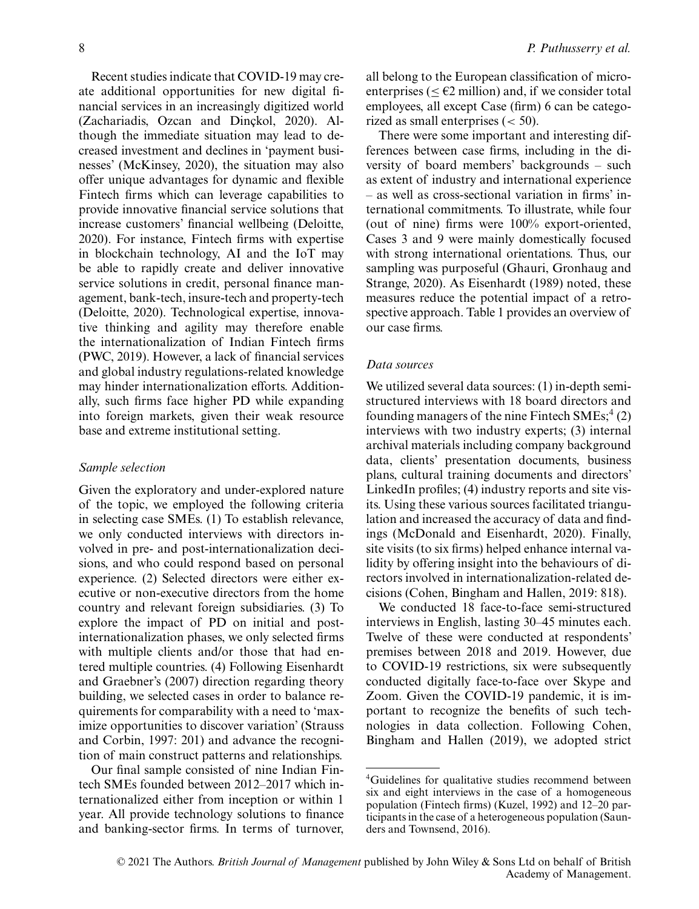Recent studies indicate that COVID-19 may create additional opportunities for new digital financial services in an increasingly digitized world (Zachariadis, Ozcan and Dinçkol, 2020). Although the immediate situation may lead to decreased investment and declines in 'payment businesses' (McKinsey, 2020), the situation may also offer unique advantages for dynamic and flexible Fintech firms which can leverage capabilities to provide innovative financial service solutions that increase customers' financial wellbeing (Deloitte, 2020). For instance, Fintech firms with expertise in blockchain technology, AI and the IoT may be able to rapidly create and deliver innovative service solutions in credit, personal finance management, bank-tech, insure-tech and property-tech (Deloitte, 2020). Technological expertise, innovative thinking and agility may therefore enable the internationalization of Indian Fintech firms (PWC, 2019). However, a lack of financial services and global industry regulations-related knowledge may hinder internationalization efforts. Additionally, such firms face higher PD while expanding into foreign markets, given their weak resource base and extreme institutional setting.

#### *Sample selection*

Given the exploratory and under-explored nature of the topic, we employed the following criteria in selecting case SMEs. (1) To establish relevance, we only conducted interviews with directors involved in pre- and post-internationalization decisions, and who could respond based on personal experience. (2) Selected directors were either executive or non-executive directors from the home country and relevant foreign subsidiaries. (3) To explore the impact of PD on initial and postinternationalization phases, we only selected firms with multiple clients and/or those that had entered multiple countries. (4) Following Eisenhardt and Graebner's (2007) direction regarding theory building, we selected cases in order to balance requirements for comparability with a need to 'maximize opportunities to discover variation' (Strauss and Corbin, 1997: 201) and advance the recognition of main construct patterns and relationships.

Our final sample consisted of nine Indian Fintech SMEs founded between 2012–2017 which internationalized either from inception or within 1 year. All provide technology solutions to finance and banking-sector firms. In terms of turnover, all belong to the European classification of microenterprises ( $\leq \epsilon$ 2 million) and, if we consider total employees, all except Case (firm) 6 can be categorized as small enterprises (*<* 50).

There were some important and interesting differences between case firms, including in the diversity of board members' backgrounds – such as extent of industry and international experience – as well as cross-sectional variation in firms' international commitments. To illustrate, while four (out of nine) firms were 100% export-oriented, Cases 3 and 9 were mainly domestically focused with strong international orientations. Thus, our sampling was purposeful (Ghauri, Gronhaug and Strange, 2020). As Eisenhardt (1989) noted, these measures reduce the potential impact of a retrospective approach. Table 1 provides an overview of our case firms.

#### *Data sources*

We utilized several data sources: (1) in-depth semistructured interviews with 18 board directors and founding managers of the nine Fintech  $\text{SMEs};^4$  (2) interviews with two industry experts; (3) internal archival materials including company background data, clients' presentation documents, business plans, cultural training documents and directors' LinkedIn profiles; (4) industry reports and site visits. Using these various sources facilitated triangulation and increased the accuracy of data and findings (McDonald and Eisenhardt, 2020). Finally, site visits (to six firms) helped enhance internal validity by offering insight into the behaviours of directors involved in internationalization-related decisions (Cohen, Bingham and Hallen, 2019: 818).

We conducted 18 face-to-face semi-structured interviews in English, lasting 30–45 minutes each. Twelve of these were conducted at respondents' premises between 2018 and 2019. However, due to COVID-19 restrictions, six were subsequently conducted digitally face-to-face over Skype and Zoom. Given the COVID-19 pandemic, it is important to recognize the benefits of such technologies in data collection. Following Cohen, Bingham and Hallen (2019), we adopted strict

<sup>4</sup>Guidelines for qualitative studies recommend between six and eight interviews in the case of a homogeneous population (Fintech firms) (Kuzel, 1992) and 12–20 participants in the case of a heterogeneous population (Saunders and Townsend, 2016).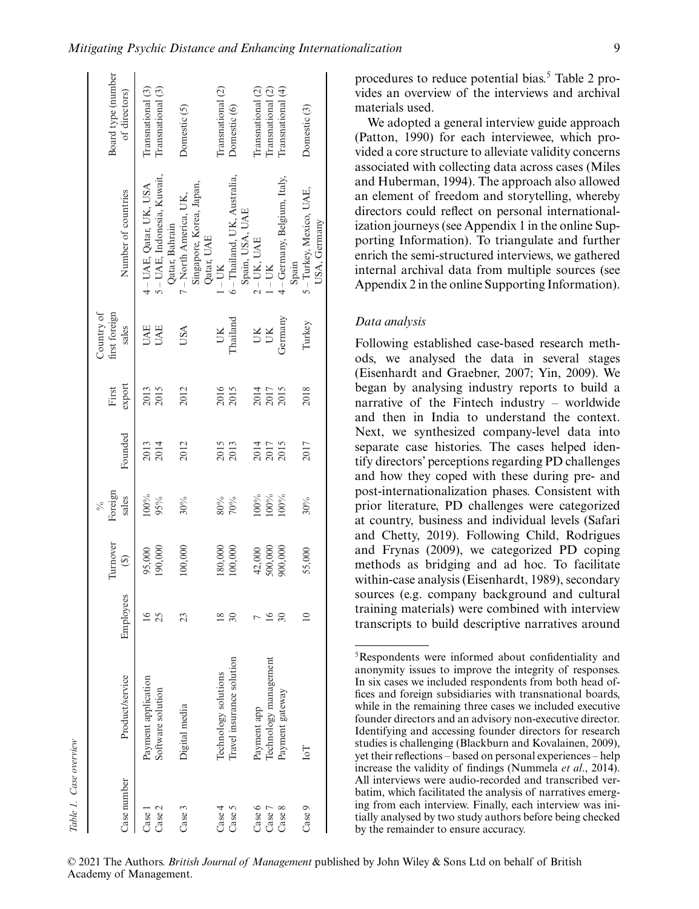| Table 1. Case overview      |                                                   |                     |                                |                                   |              |                 |                                      |                                                                          |                                        |
|-----------------------------|---------------------------------------------------|---------------------|--------------------------------|-----------------------------------|--------------|-----------------|--------------------------------------|--------------------------------------------------------------------------|----------------------------------------|
| Case number                 | Product/service                                   | Employees           | Turnover<br>$\widehat{\Theta}$ | Foreign<br>sales<br>$\frac{5}{6}$ | Founded      | export<br>First | Country of<br>first foreign<br>sales | Number of countries                                                      | Board type (number<br>of directors)    |
| Case 2<br>Case <sub>1</sub> | Payment application<br>Software solution          | $\frac{6}{2}$<br>25 | 190,000<br>95,000              | 100%<br>95%                       | 2013<br>2014 | 2013<br>2015    | <b>UAE</b><br><b>UAE</b>             | 5 – UAE, Indonesia, Kuwait,<br>4 - UAE, Qatar, UK, USA<br>Qatar, Bahrain | Transnational (3)<br>Transnational (3) |
| Case 3                      | Digital media                                     | 23                  | 100,000                        | $30\%$                            | 2012         | 2012            | USA                                  | Singapore, Korea, Japan,<br>7 - North America, UK,<br>Qatar, UAE         | Domestic(5)                            |
| Case 4<br>Case 5            | Travel insurance solution<br>Technology solutions | $\overline{30}$     | 180,000<br>100,000             | $80\%$<br>$70\%$                  | 2015<br>2013 | 2016<br>2015    | Thailand<br>UK                       | 6 - Thailand, UK, Australia,<br>Spain, USA, UAE<br>$-$ UK                | Transnational (2)<br>Domestic (6)      |
| Case 6<br>Case 7            | Technology management<br>Payment app              |                     | 500,000<br>42,000              | 100%<br>100%                      | 2014<br>2017 | 2014<br>2017    | UК<br>UK                             | $2 - UK$ , UAE<br>$-$ UK                                                 | Transnational (2)<br>Transnational (2) |
| Case 8                      | Payment gateway                                   | 30                  | 900,000                        | 100%                              | 2015         | 2015            | Germany                              | 4 - Germany, Belgium, Italy,<br>Spain                                    | Transnational (4)                      |
| Case 9                      | ĿoI                                               | $\approx$           | 55,000                         | 30%                               | 2017         | 2018            | Turkey                               | 5 - Turkey, Mexico, UAE,<br>USA, Germany                                 | Domestic <sup>(3)</sup>                |

We adopted a general interview guide approach (Patton, 1990) for each interviewee, which provided a core structure to alleviate validity concerns associated with collecting data across cases (Miles and Huberman, 1994). The approach also allowed an element of freedom and storytelling, whereby directors could reflect on personal internationalization journeys (see Appendix 1 in the online Supporting Information). To triangulate and further enrich the semi-structured interviews, we gathered internal archival data from multiple sources (see Appendix 2 in the online Supporting Information).

#### *Data analysis*

Following established case-based research methods, we analysed the data in several stages (Eisenhardt and Graebner, 2007; Yin, 2009). We began by analysing industry reports to build a narrative of the Fintech industry – worldwide and then in India to understand the context. Next, we synthesized company-level data into separate case histories. The cases helped identify directors' perceptions regarding PD challenges and how they coped with these during pre- and post-internationalization phases. Consistent with prior literature, PD challenges were categorized at country, business and individual levels (Safari and Chetty, 2019). Following Child, Rodrigues and Frynas (2009), we categorized PD coping methods as bridging and ad hoc. To facilitate within-case analysis (Eisenhardt, 1989), secondary sources (e.g. company background and cultural training materials) were combined with interview transcripts to build descriptive narratives around

<sup>5</sup>Respondents were informed about confidentiality and anonymity issues to improve the integrity of responses. In six cases we included respondents from both head offices and foreign subsidiaries with transnational boards, while in the remaining three cases we included executive founder directors and an advisory non-executive director. Identifying and accessing founder directors for research studies is challenging (Blackburn and Kovalainen, 2009), yet their reflections – based on personal experiences – help increase the validity of findings (Nummela *et al*., 2014). All interviews were audio-recorded and transcribed verbatim, which facilitated the analysis of narratives emerging from each interview. Finally, each interview was initially analysed by two study authors before being checked by the remainder to ensure accuracy.

<sup>© 2021</sup> The Authors. *British Journal of Management* published by John Wiley & Sons Ltd on behalf of British Academy of Management.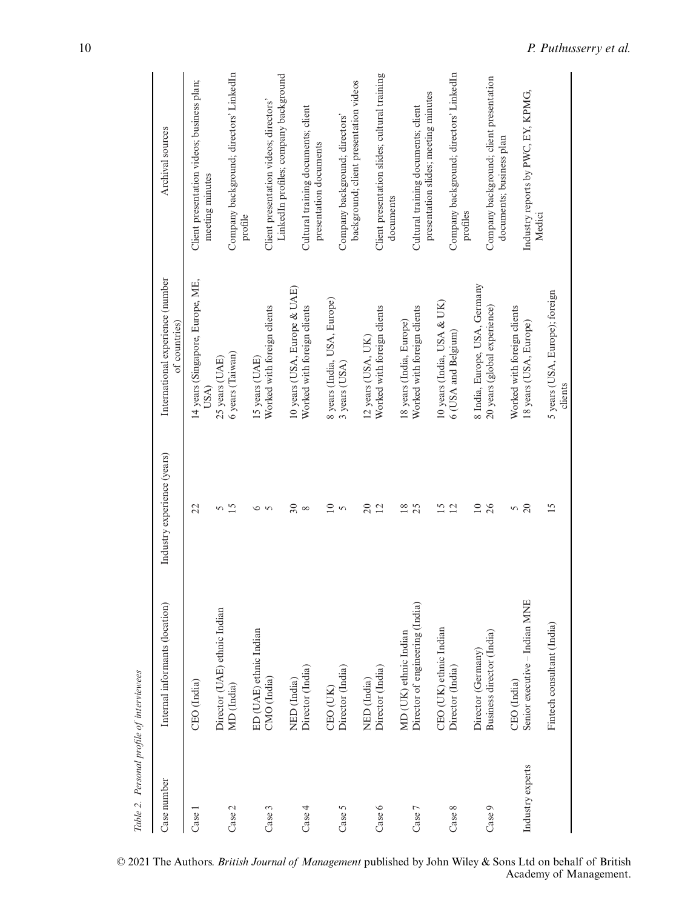| Table 2. Personal profile of interviewees |                                 |                             |                                                   |                                                                                 |
|-------------------------------------------|---------------------------------|-----------------------------|---------------------------------------------------|---------------------------------------------------------------------------------|
| Case number                               | Internal informants (location)  | Industry experience (years) | International experience (number<br>of countries) | Archival sources                                                                |
| Case 1                                    | CEO (India)                     | 22                          | 14 years (Singapore, Europe, ME,<br>USA)          | Client presentation videos; business plan;<br>meeting minutes                   |
|                                           | Director (UAE) ethnic Indian    | 5                           | 25 years (UAE)                                    |                                                                                 |
| Case 2                                    | MD (India)                      | 15                          | 6 years (Taiwan)                                  | Company background; directors' LinkedIn<br>profile                              |
|                                           | ED (UAE) ethnic Indian          | $\circ$                     | 15 years (UAE)                                    |                                                                                 |
| Case 3                                    | CMO (India)                     | $\sim$                      | Worked with foreign clients                       | LinkedIn profiles; company background<br>Client presentation videos; directors' |
|                                           | NED (India)                     | $\Im$                       | 10 years (USA, Europe & UAE)                      |                                                                                 |
| Case 4                                    | Director (India)                | $\infty$                    | Worked with foreign clients                       | Cultural training documents; client<br>presentation documents                   |
|                                           | CEO (UK)                        | $\overline{10}$             | 8 years (India, USA, Europe)                      |                                                                                 |
| Case 5                                    | Director (India)                | $\sim$                      | 3 years (USA)                                     | background; client presentation videos<br>Company background; directors'        |
|                                           | NED (India)                     | $\approx$                   | 12 years (USA, UK)                                |                                                                                 |
|                                           |                                 | $\overline{12}$             |                                                   |                                                                                 |
| Case 6                                    | Director (India)                |                             | Worked with foreign clients                       | Client presentation slides; cultural training<br>documents                      |
|                                           | MD (UK) ethnic Indian           | $\overline{18}$             | 18 years (India, Europe)                          |                                                                                 |
| Case 7                                    | Director of engineering (India) | 25                          | Worked with foreign clients                       | presentation slides; meeting minutes<br>Cultural training documents; client     |
|                                           | CEO (UK) ethnic Indian          | 15                          | 10 years (India, USA & UK)                        |                                                                                 |
| Case 8                                    | Director (India)                | 12                          | 6 (USA and Belgium)                               | Company background; directors' LinkedIn<br>profiles                             |
|                                           | Director (Germany)              | $\overline{10}$             | 8 India, Europe, USA, Germany                     |                                                                                 |
| Case 9                                    | Business director (India)       | 26                          | 20 years (global experience)                      | Company background; client presentation<br>documents; business plan             |
|                                           | CEO (India)                     | 5                           | Worked with foreign clients                       |                                                                                 |
| Industry experts                          | Senior executive - Indian MNE   | $\infty$                    | 18 years (USA, Europe)                            | Industry reports by PWC, EY, KPMG,<br>Medici                                    |
|                                           | Fintech consultant (India)      | $\overline{15}$             | 5 years (USA, Europe); foreign<br>clients         |                                                                                 |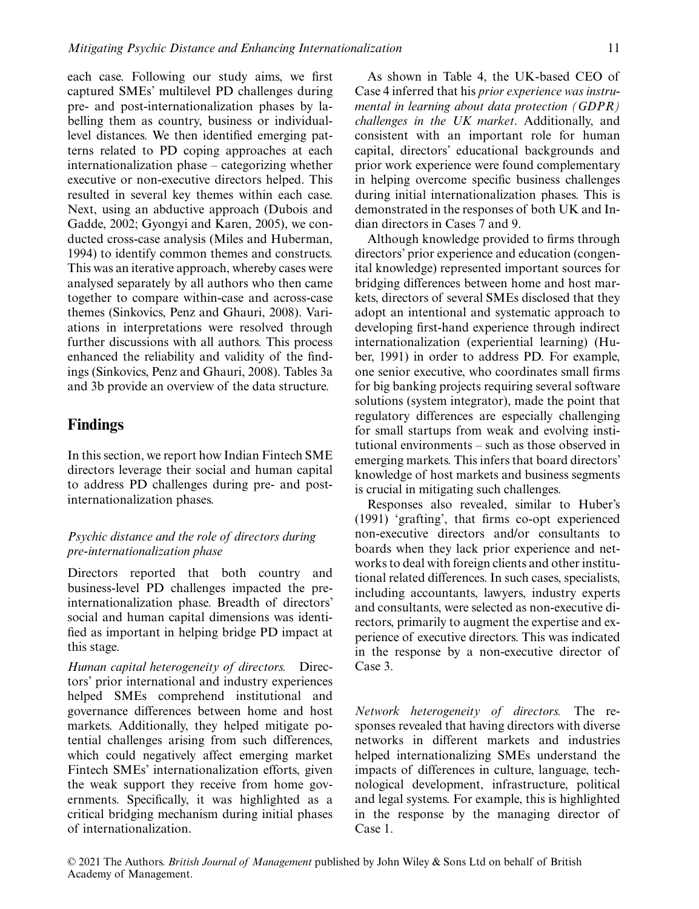each case. Following our study aims, we first captured SMEs' multilevel PD challenges during pre- and post-internationalization phases by labelling them as country, business or individuallevel distances. We then identified emerging patterns related to PD coping approaches at each internationalization phase – categorizing whether executive or non-executive directors helped. This resulted in several key themes within each case. Next, using an abductive approach (Dubois and Gadde, 2002; Gyongyi and Karen, 2005), we conducted cross-case analysis (Miles and Huberman, 1994) to identify common themes and constructs. This was an iterative approach, whereby cases were analysed separately by all authors who then came together to compare within-case and across-case themes (Sinkovics, Penz and Ghauri, 2008). Variations in interpretations were resolved through further discussions with all authors. This process enhanced the reliability and validity of the findings (Sinkovics, Penz and Ghauri, 2008). Tables 3a and 3b provide an overview of the data structure.

#### **Findings**

In this section, we report how Indian Fintech SME directors leverage their social and human capital to address PD challenges during pre- and postinternationalization phases.

#### *Psychic distance and the role of directors during pre-internationalization phase*

Directors reported that both country and business-level PD challenges impacted the preinternationalization phase. Breadth of directors' social and human capital dimensions was identified as important in helping bridge PD impact at this stage.

*Human capital heterogeneity of directors.* Directors' prior international and industry experiences helped SMEs comprehend institutional and governance differences between home and host markets. Additionally, they helped mitigate potential challenges arising from such differences, which could negatively affect emerging market Fintech SMEs' internationalization efforts, given the weak support they receive from home governments. Specifically, it was highlighted as a critical bridging mechanism during initial phases of internationalization.

As shown in Table 4, the UK-based CEO of Case 4 inferred that his *prior experience was instrumental in learning about data protection (GDPR) challenges in the UK market*. Additionally, and consistent with an important role for human capital, directors' educational backgrounds and prior work experience were found complementary in helping overcome specific business challenges during initial internationalization phases. This is demonstrated in the responses of both UK and Indian directors in Cases 7 and 9.

Although knowledge provided to firms through directors' prior experience and education (congenital knowledge) represented important sources for bridging differences between home and host markets, directors of several SMEs disclosed that they adopt an intentional and systematic approach to developing first-hand experience through indirect internationalization (experiential learning) (Huber, 1991) in order to address PD. For example, one senior executive, who coordinates small firms for big banking projects requiring several software solutions (system integrator), made the point that regulatory differences are especially challenging for small startups from weak and evolving institutional environments – such as those observed in emerging markets. This infers that board directors' knowledge of host markets and business segments is crucial in mitigating such challenges.

Responses also revealed, similar to Huber's (1991) 'grafting', that firms co-opt experienced non-executive directors and/or consultants to boards when they lack prior experience and networks to deal with foreign clients and other institutional related differences. In such cases, specialists, including accountants, lawyers, industry experts and consultants, were selected as non-executive directors, primarily to augment the expertise and experience of executive directors. This was indicated in the response by a non-executive director of Case 3.

*Network heterogeneity of directors.* The responses revealed that having directors with diverse networks in different markets and industries helped internationalizing SMEs understand the impacts of differences in culture, language, technological development, infrastructure, political and legal systems. For example, this is highlighted in the response by the managing director of Case 1.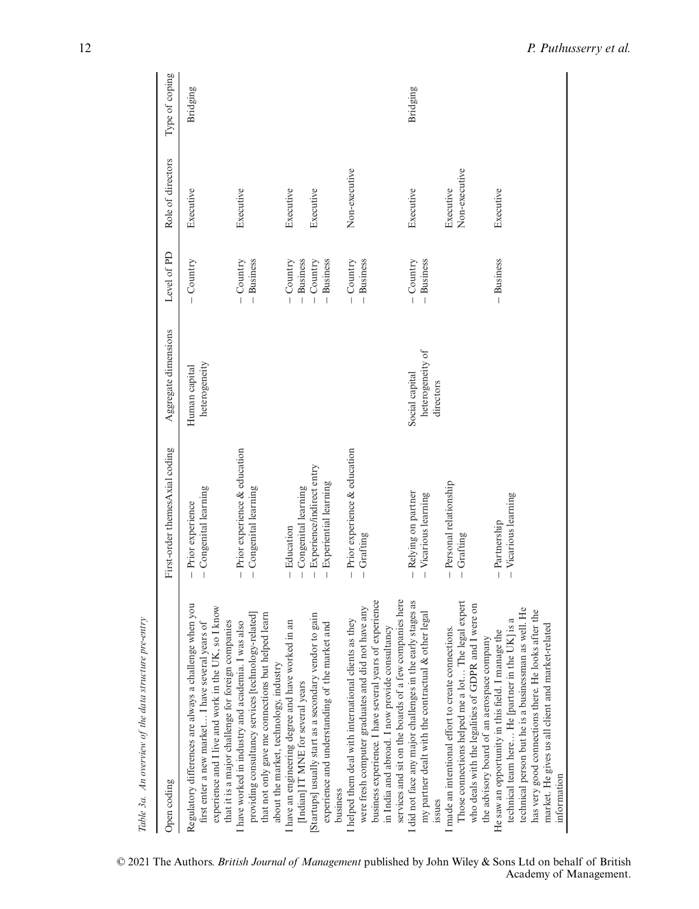| Table 3a. An overview of the data structure pre-entry                                                                                                                                                                                                                                         |                                                                |                                                 |                                |                            |                 |
|-----------------------------------------------------------------------------------------------------------------------------------------------------------------------------------------------------------------------------------------------------------------------------------------------|----------------------------------------------------------------|-------------------------------------------------|--------------------------------|----------------------------|-----------------|
| Open coding                                                                                                                                                                                                                                                                                   | First-order themesAxial coding                                 | Aggregate dimensions                            | Level of PD                    | Role of directors          | Type of coping  |
| hon<br>experience and I live and work in the UK, so I know<br>Regulatory differences are always a challenge when<br>first enter a new market I have several years of<br>that it is a major challenge for foreign companies                                                                    | Congenital learning<br>$-$ Prior experience                    | heterogeneity<br>Human capital                  | $-$ Country                    | Executive                  | Bridging        |
| that not only gave me connections but helped learn<br>providing consultancy services [technology-related]<br>have worked in industry and academia. I was also<br>about the market, technology, industry                                                                                       | $-$ Prior experience $\&$ education<br>$-$ Congenital learning |                                                 | $-$ Country<br>$-$ Business    | Executive                  |                 |
| have an engineering degree and have worked in an<br>[Indian] IT MNE for several years                                                                                                                                                                                                         | $-$ Congenital learning<br>- Education                         |                                                 | $-$ Business<br>$-$ Country    | Executive                  |                 |
| [Startups] usually start as a secondary vendor to gain<br>experience and understanding of the market and<br>business                                                                                                                                                                          | - Experience/indirect entry<br>Experiential learning           |                                                 | <b>Business</b><br>$-$ Country | Executive                  |                 |
| services and sit on the boards of a few companies here<br>business experience. I have several years of experience<br>were fresh computer graduates and did not have any<br>I helped them deal with international clients as they<br>in India and abroad. I now provide consultancy            | $-$ Prior experience $\&$ education<br>$-$ Grafting            |                                                 | $-$ Business<br>$-$ Country    | Non-executive              |                 |
| did not face any major challenges in the early stages as<br>my partner dealt with the contractual & other legal<br>issues                                                                                                                                                                     | - Relying on partner<br>$-$ Vicarious learning                 | heterogeneity of<br>Social capital<br>directors | $-$ Country<br>$-$ Business    | Executive                  | <b>Bridging</b> |
| Those connections helped me a lot The legal expert<br>who deals with the legalities of GDPR and I were on<br>I made an intentional effort to create connections.<br>the advisory board of an aerospace company                                                                                | - Personal relationship<br>- Grafting                          |                                                 |                                | Non-executive<br>Executive |                 |
| He<br>the<br>technical team here He [partner in the UK] is a<br>has very good connections there. He looks after<br>market. He gives us all client and market-related<br>technical person but he is a businessman as well.<br>He saw an opportunity in this field. I manage the<br>information | $-$ Vicarious learning<br>- Partnership                        |                                                 | $-$ Business                   | Executive                  |                 |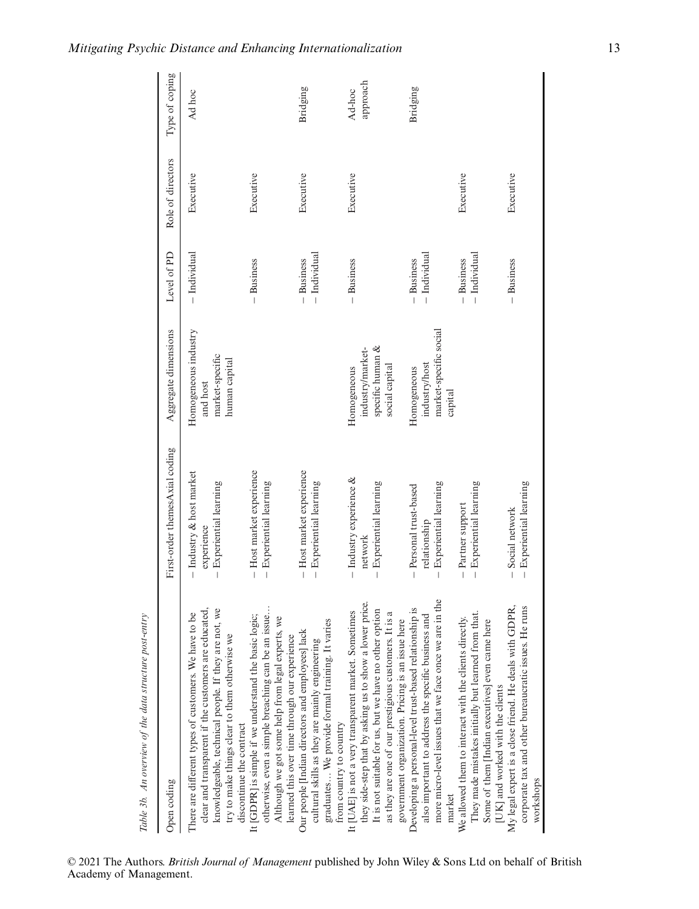| Table 3b. An overview of the data structure post-entry                                                                                                                                                                                                                                  |                                                                      |                                                                       |                                |                   |                    |
|-----------------------------------------------------------------------------------------------------------------------------------------------------------------------------------------------------------------------------------------------------------------------------------------|----------------------------------------------------------------------|-----------------------------------------------------------------------|--------------------------------|-------------------|--------------------|
| Open coding                                                                                                                                                                                                                                                                             | First-order themesAxial coding                                       | Aggregate dimensions                                                  | Level of PD                    | Role of directors | Type of coping     |
| clear and transparent if the customers are educated,<br>knowledgeable, technical people. If they are not, we<br>g<br>There are different types of customers. We have to<br>try to make things clear to them otherwise we<br>discontinue the contract                                    | - Industry & host market<br>$-$ Experiential learning<br>experience  | Homogeneous industry<br>market-specific<br>human capital<br>and host  | $-$ Individual                 | Executive         | Ad hoc             |
| otherwise, even a simple breaching can be an issue<br>It [GDPR] is simple if we understand the basic logic;<br>Although we got some help from legal experts, we<br>learned this over time through our experience                                                                        | - Host market experience<br>$-$ Experiential learning                |                                                                       | $-$ Business                   | Executive         |                    |
| graduates We provide formal training. It varies<br>Our people [Indian directors and employees] lack<br>cultural skills as they are mainly engineering<br>from country to country                                                                                                        | - Host market experience<br>$-$ Experiential learning                |                                                                       | $-$ Individual<br>$-$ Business | Executive         | Bridging           |
| they side-step that by asking us to show a lower price.<br>It is not suitable for us, but we have no other option<br>It [UAE] is not a very transparent market. Sometimes<br>as they are one of our prestigious customers. It is a<br>government organization. Pricing is an issue here | $-$ Industry experience $\&$<br>$-$ Experiential learning<br>network | specific human &<br>industry/market-<br>social capital<br>Homogeneous | $-$ Business                   | Executive         | approach<br>Ad-hoc |
| more micro-level issues that we face once we are in the<br>Developing a personal-level trust-based relationship is<br>also important to address the specific business and<br>market                                                                                                     | $-$ Experiential learning<br>- Personal trust-based<br>relationship  | market-specific social<br>industry/host<br>Homogeneous<br>capital     | - Individual<br>$-$ Business   |                   | Bridging           |
| We allowed them to interact with the clients directly.<br>They made mistakes initially but learned from that.<br>Some of them [Indian executives] even came here<br>[UK] and worked with the clients                                                                                    | $-$ Experiential learning<br>- Partner support                       |                                                                       | — Individual<br>$-$ Business   | Executive         |                    |
| My legal expert is a close friend. He deals with GDPR,<br>corporate tax and other bureaucratic issues. He runs<br>workshops                                                                                                                                                             | $-$ Experiential learning<br>- Social network                        |                                                                       | $-$ Business                   | Executive         |                    |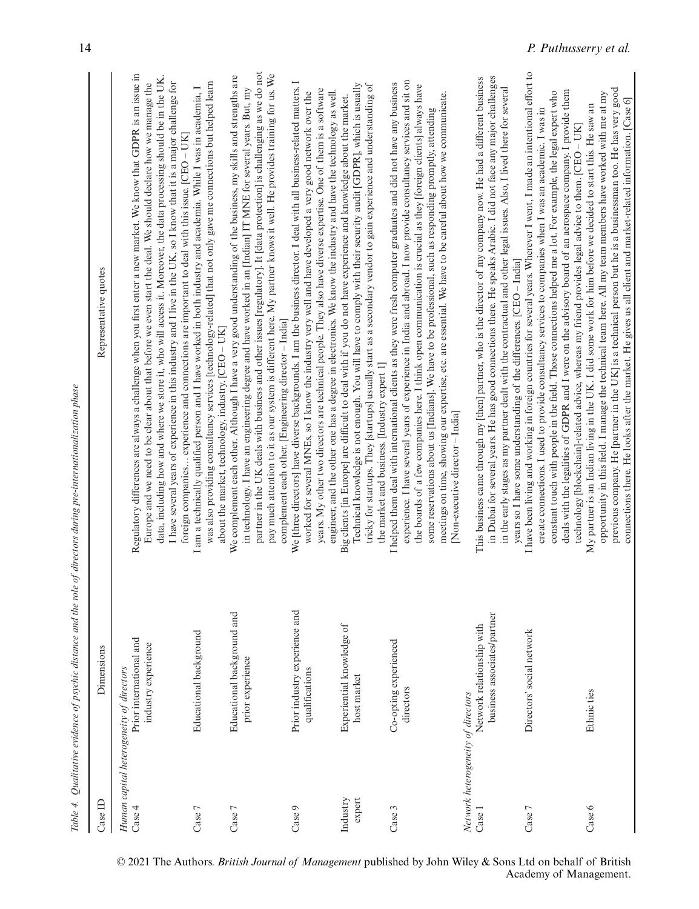| l |                     |
|---|---------------------|
|   |                     |
|   |                     |
|   |                     |
|   |                     |
|   |                     |
|   |                     |
|   |                     |
|   |                     |
|   |                     |
|   |                     |
|   |                     |
|   |                     |
|   | $\overline{a}$<br>j |
|   |                     |
|   |                     |
|   |                     |
|   | ł                   |
|   |                     |
|   |                     |
|   | l                   |
|   |                     |
|   |                     |
|   |                     |
|   |                     |
|   |                     |
|   |                     |
|   |                     |
|   |                     |
|   | ï                   |
|   |                     |
|   |                     |
|   | j                   |
|   |                     |
|   |                     |
|   |                     |
|   |                     |
|   |                     |
|   |                     |
|   |                     |
|   | l                   |
|   |                     |
|   |                     |
|   |                     |
|   | ł                   |
|   |                     |
|   |                     |
|   |                     |
|   |                     |
|   |                     |
|   |                     |
|   |                     |
|   |                     |
|   |                     |
|   |                     |
| ۱ | l                   |
|   |                     |
|   | ֚֚֬                 |
|   |                     |
| I | ś<br>j<br>ī         |

| Case ID                                            | Dimensions                                               | Representative quotes                                                                                                                                                                                                                                                                                                                                                                                                                                                                                                                                                                                                   |
|----------------------------------------------------|----------------------------------------------------------|-------------------------------------------------------------------------------------------------------------------------------------------------------------------------------------------------------------------------------------------------------------------------------------------------------------------------------------------------------------------------------------------------------------------------------------------------------------------------------------------------------------------------------------------------------------------------------------------------------------------------|
| Human capital heterogeneity of directors<br>Case 4 | Prior international and<br>industry experience           | Regulatory differences are always a challenge when you first enter a new market. We know that GDPR is an issue in<br>data, including how and where we store it, who will access it. Moreover, the data processing should be in the UK.<br>Europe and we need to be clear about that before we even start the deal. We should declare how we manage the<br>I have several years of experience in this industry and I live in the UK, so I know that it is a major challenge for<br>foreign companies experience and connections are important to deal with this issue. [CEO - UK]                                        |
| Case 7                                             | Educational background                                   | was also providing consultancy services [technology-related] that not only gave me connections but helped learn<br>I am a technically qualified person and I have worked in both industry and academia. While I was in academia, I<br>about the market, technology, industry. [CEO - UK]                                                                                                                                                                                                                                                                                                                                |
| Case 7                                             | Educational background and<br>prior experience           | partner in the UK deals with business and other issues [regulatory]. It [data protection] is challenging as we do not<br>pay much attention to it as our system is different here. My partner knows it well. He provides training for us. We<br>We complement each other. Although I have a very good understanding of the business, my skills and strengths are<br>in technology. I have an engineering degree and have worked in an [Indian] IT MNE for several years. But, my<br>complement each other. [Engineering director - India]                                                                               |
| Case 9                                             | Prior industry experience and<br>qualifications          | We [three directors] have diverse backgrounds. I am the business director. I deal with all business-related matters. I<br>years. My other two directors are technical people. They also have diverse expertise. One of them is a software<br>engineer, and the other one has a degree in electronics. We know the industry and have the technology as well.<br>worked for several MNEs, so I know the industry very well and have developed a very good network over the                                                                                                                                                |
| $e$ xpert<br>Industry                              | Experiential knowledge of<br>host market                 | Technical knowledge is not enough. You will have to comply with their security audit [GDPR], which is usually<br>tricky for startups. They [startups] usually start as a secondary vendor to gain experience and understanding of<br>Big clients [in Europe] are difficult to deal with if you do not have experience and knowledge about the market.<br>the market and business. [Industry expert 1]                                                                                                                                                                                                                   |
| Case 3                                             | Co-opting experienced<br>directors                       | experience. I have several years of experience in India and abroad. I now provide consultancy services and sit on<br>I helped them deal with international clients as they were fresh computer graduates and did not have any business<br>the boards of a few companies here. I think open communication is crucial as they [foreign clients] always have<br>meetings on time, showing our expertise, etc. are essential. We have to be careful about how we communicate.<br>some reservations about us [Indians]. We have to be professional, such as responding promptly, attending<br>Non-executive director - India |
| Network heterogeneity of directors<br>Case 1       | business associates/partner<br>Network relationship with | in Dubai for several years. He has good connections there. He speaks Arabic. I did not face any major challenges<br>This business came through my [then] partner, who is the director of my company now. He had a different business<br>in the early stages as my partner dealt with the contractual and other legal issues. Also, I lived there for several                                                                                                                                                                                                                                                            |
| Case 7                                             | Directors' social network                                | I have been living and working in foreign countries for several years. Wherever I went, I made an intentional effort to<br>deals with the legalities of GDPR and I were on the advisory board of an aerospace company. I provide them<br>constant touch with people in the field. Those connections helped me a lot. For example, the legal expert who<br>create connections. I used to provide consultancy services to companies when I was an academic. I was in<br>years so I have some understanding of the differences. [CEO - India]                                                                              |
| Case 6                                             | Ethnic ties                                              | previous company. He [partner in the UK] is a technical person but he is a businessman too. He has very good<br>opportunity in this field. I manage the technical team here. All my team members have worked with me at my<br>connections there. He looks after the market. He gives us all client and market-related information. [Case 6]<br>My partner is an Indian living in the UK. I did some work for him before we decided to start this. He saw an<br>technology [blockchain]-related advice, whereas my friend provides legal advice to them. [CEO - UK]                                                      |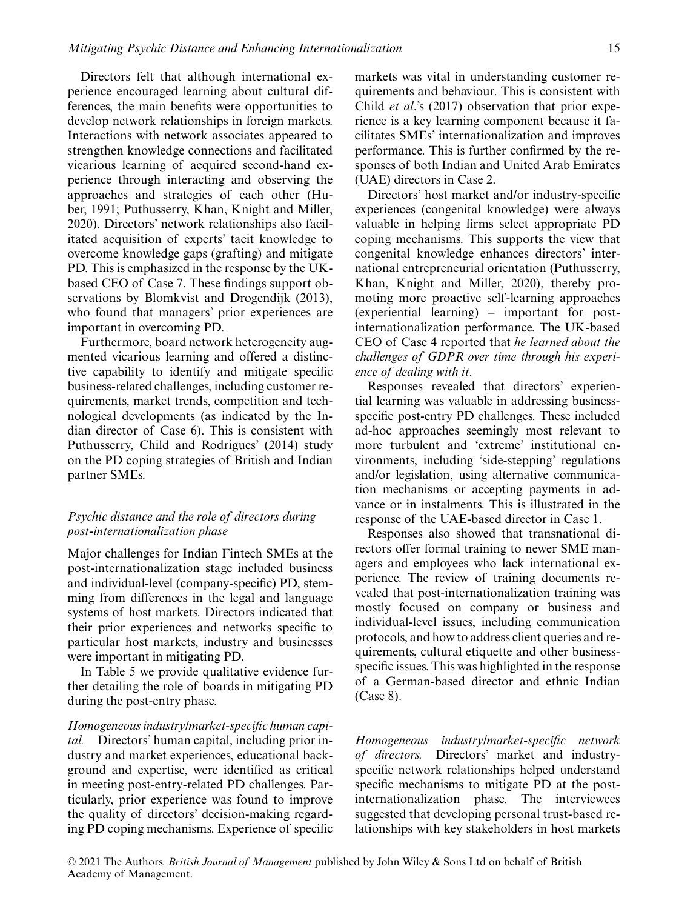Directors felt that although international experience encouraged learning about cultural differences, the main benefits were opportunities to develop network relationships in foreign markets. Interactions with network associates appeared to strengthen knowledge connections and facilitated vicarious learning of acquired second-hand experience through interacting and observing the approaches and strategies of each other (Huber, 1991; Puthusserry, Khan, Knight and Miller, 2020). Directors' network relationships also facilitated acquisition of experts' tacit knowledge to overcome knowledge gaps (grafting) and mitigate PD. This is emphasized in the response by the UKbased CEO of Case 7. These findings support observations by Blomkvist and Drogendijk (2013), who found that managers' prior experiences are important in overcoming PD.

Furthermore, board network heterogeneity augmented vicarious learning and offered a distinctive capability to identify and mitigate specific business-related challenges, including customer requirements, market trends, competition and technological developments (as indicated by the Indian director of Case 6). This is consistent with Puthusserry, Child and Rodrigues' (2014) study on the PD coping strategies of British and Indian partner SMEs.

#### *Psychic distance and the role of directors during post-internationalization phase*

Major challenges for Indian Fintech SMEs at the post-internationalization stage included business and individual-level (company-specific) PD, stemming from differences in the legal and language systems of host markets. Directors indicated that their prior experiences and networks specific to particular host markets, industry and businesses were important in mitigating PD.

In Table 5 we provide qualitative evidence further detailing the role of boards in mitigating PD during the post-entry phase.

*Homogeneous industry/market-specific human capital.* Directors' human capital, including prior industry and market experiences, educational background and expertise, were identified as critical in meeting post-entry-related PD challenges. Particularly, prior experience was found to improve the quality of directors' decision-making regarding PD coping mechanisms. Experience of specific markets was vital in understanding customer requirements and behaviour. This is consistent with Child *et al*.'s (2017) observation that prior experience is a key learning component because it facilitates SMEs' internationalization and improves performance. This is further confirmed by the responses of both Indian and United Arab Emirates (UAE) directors in Case 2.

Directors' host market and/or industry-specific experiences (congenital knowledge) were always valuable in helping firms select appropriate PD coping mechanisms. This supports the view that congenital knowledge enhances directors' international entrepreneurial orientation (Puthusserry, Khan, Knight and Miller, 2020), thereby promoting more proactive self -learning approaches (experiential learning) – important for postinternationalization performance. The UK-based CEO of Case 4 reported that *he learned about the challenges of GDPR over time through his experience of dealing with it*.

Responses revealed that directors' experiential learning was valuable in addressing businessspecific post-entry PD challenges. These included ad-hoc approaches seemingly most relevant to more turbulent and 'extreme' institutional environments, including 'side-stepping' regulations and/or legislation, using alternative communication mechanisms or accepting payments in advance or in instalments. This is illustrated in the response of the UAE-based director in Case 1.

Responses also showed that transnational directors offer formal training to newer SME managers and employees who lack international experience. The review of training documents revealed that post-internationalization training was mostly focused on company or business and individual-level issues, including communication protocols, and how to address client queries and requirements, cultural etiquette and other businessspecific issues. This was highlighted in the response of a German-based director and ethnic Indian (Case 8).

*Homogeneous industry/market-specific network of directors.* Directors' market and industryspecific network relationships helped understand specific mechanisms to mitigate PD at the postinternationalization phase. The interviewees suggested that developing personal trust-based relationships with key stakeholders in host markets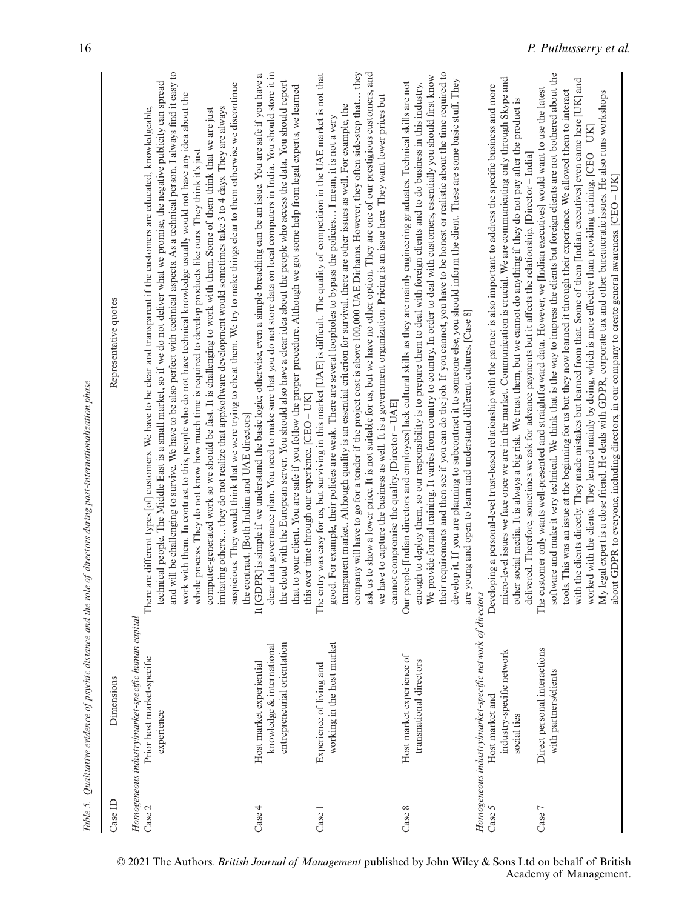|          |                                                                                                                | Table 5. Qualitative evidence of psychic distance and the role of directors during post-internationalization phase                                                                                                                                                                                                                                                                                                                                                                                                                                                                                                                                                                                                                                                                                                                                                                                                                                                                                                                       |
|----------|----------------------------------------------------------------------------------------------------------------|------------------------------------------------------------------------------------------------------------------------------------------------------------------------------------------------------------------------------------------------------------------------------------------------------------------------------------------------------------------------------------------------------------------------------------------------------------------------------------------------------------------------------------------------------------------------------------------------------------------------------------------------------------------------------------------------------------------------------------------------------------------------------------------------------------------------------------------------------------------------------------------------------------------------------------------------------------------------------------------------------------------------------------------|
| Case ID  | Dimensions                                                                                                     | Representative quotes                                                                                                                                                                                                                                                                                                                                                                                                                                                                                                                                                                                                                                                                                                                                                                                                                                                                                                                                                                                                                    |
| Case 2   | Homogeneous industrylmarket-specific human capital<br>Prior host market-specific<br>experience                 | and will be challenging to survive. We have to be also perfect with technical aspects. As a technical person, I always find it easy to<br>technical people. The Middle East is a small market, so if we do not deliver what we promise, the negative publicity can spread<br>suspicious. They would think that we were trying to cheat them. We try to make things clear to them otherwise we discontinue<br>work with them. In contrast to this, people who do not have technical knowledge usually would not have any idea about the<br>imitating others they do not realize that app/software development would sometimes take 3 to 4 days. They are always<br>There are different types [of] customers. We have to be clear and transparent if the customers are educated, knowledgeable,<br>computer-generated work so we should be fast. It is challenging to work with them. Some of them think that we are just<br>whole process. They do not know how much time is required to develop products like ours. They think it's just |
| $\csc 4$ | entrepreneurial orientation<br>knowledge & international<br>Host market experiential                           | clear data governance plan. You need to make sure that you do not store data on local computers in India. You should store it in<br>It [GDPR] is simple if we understand the basic logic; otherwise, even a simple breaching can be an issue. You are safe if you have a<br>the cloud with the European server. You should also have a clear idea about the people who access the data. You should report<br>that to your client. You are safe if you follow the proper procedure. Although we got some help from legal experts, we learned<br>this over time through our experience. [CEO - UK]<br>the contract. [Both Indian and UAE directors]                                                                                                                                                                                                                                                                                                                                                                                        |
| Case 1   | working in the host market<br>Experience of living and                                                         | company will have to go for a tender if the project cost is above 100,000 UAE Dirhams. However, they often side-step that they<br>ask us to show a lower price. It is not suitable for us, but we have no other option. They are one of our prestigious customers, and<br>The entry was easy for us, but surviving in this market [UAE] is difficult. The quality of competition in the UAE market is not that<br>we have to capture the business as well. It is a government organization. Pricing is an issue here. They want lower prices but<br>transparent market. Although quality is an essential criterion for survival, there are other issues as well. For example, the<br>good. For example, their policies are weak. There are several loopholes to bypass the policies I mean, it is not a very<br>cannot compromise the quality. [Director - UAE]                                                                                                                                                                          |
| Case 8   | Host market experience of<br>transnational directors                                                           | their requirements and then see if you can do the job. If you cannot, you have to be honest or realistic about the time required to<br>We provide formal training. It varies from country to country. In order to deal with customers, essentially you should first know<br>develop it. If you are planning to subcontract it to someone else, you should inform the client. These are some basic stuff. They<br>Our people [Indian directors and employees] lack cultural skills as they are mainly engineering graduates. Technical skills are not<br>enough to deploy them, so our responsibility is to prepare them to deal with foreign clients and to do business in this industry.<br>are young and open to learn and understand different cultures. [Case 8]                                                                                                                                                                                                                                                                     |
| Case 5   | Homogeneous industry/market-specific network of<br>industry-specific network<br>Host market and<br>social ties | micro-level issues we face once we are in the market. Communication is crucial. We are communicating only through Skype and<br>Developing a personal-level trust-based relationship with the partner is also important to address the specific business and more<br>other social media. It is always a big risk. We trust them, but we cannot do anything if they do not pay after the product is<br>delivered. Therefore, sometimes we ask for advance payments but it affects the relationship. [Director - India]<br>directors                                                                                                                                                                                                                                                                                                                                                                                                                                                                                                        |
| Case 7   | Direct personal interactions<br>with partners/clients                                                          | software and make it very technical. We think that is the way to impress the clients but foreign clients are not bothered about the<br>with the clients directly. They made mistakes but learned from that. Some of them [Indian executives] even came here [UK] and<br>The customer only wants well-presented and straightforward data. However, we [Indian executives] would want to use the latest<br>tools. This was an issue at the beginning for us but they now learned it through their experience. We allowed them to interact<br>My legal expert is a close friend. He deals with GDPR, corporate tax and other bureaucratic issues. He also runs workshops<br>worked with the clients. They learned mainly by doing, which is more effective than providing training. [CEO - UK]<br>about GDPR to everyone, including directors, in our company to create general awareness. [CEO – UK]                                                                                                                                       |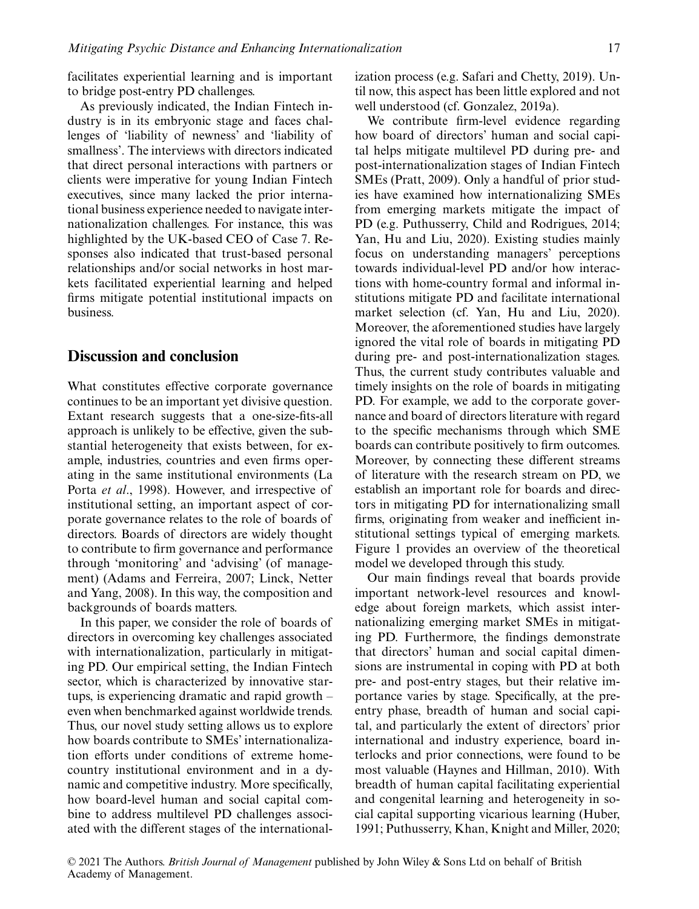facilitates experiential learning and is important to bridge post-entry PD challenges.

As previously indicated, the Indian Fintech industry is in its embryonic stage and faces challenges of 'liability of newness' and 'liability of smallness'. The interviews with directors indicated that direct personal interactions with partners or clients were imperative for young Indian Fintech executives, since many lacked the prior international business experience needed to navigate internationalization challenges. For instance, this was highlighted by the UK-based CEO of Case 7. Responses also indicated that trust-based personal relationships and/or social networks in host markets facilitated experiential learning and helped firms mitigate potential institutional impacts on business.

#### **Discussion and conclusion**

What constitutes effective corporate governance continues to be an important yet divisive question. Extant research suggests that a one-size-fits-all approach is unlikely to be effective, given the substantial heterogeneity that exists between, for example, industries, countries and even firms operating in the same institutional environments (La Porta *et al*., 1998). However, and irrespective of institutional setting, an important aspect of corporate governance relates to the role of boards of directors. Boards of directors are widely thought to contribute to firm governance and performance through 'monitoring' and 'advising' (of management) (Adams and Ferreira, 2007; Linck, Netter and Yang, 2008). In this way, the composition and backgrounds of boards matters.

In this paper, we consider the role of boards of directors in overcoming key challenges associated with internationalization, particularly in mitigating PD. Our empirical setting, the Indian Fintech sector, which is characterized by innovative startups, is experiencing dramatic and rapid growth – even when benchmarked against worldwide trends. Thus, our novel study setting allows us to explore how boards contribute to SMEs' internationalization efforts under conditions of extreme homecountry institutional environment and in a dynamic and competitive industry. More specifically, how board-level human and social capital combine to address multilevel PD challenges associated with the different stages of the internationalization process (e.g. Safari and Chetty, 2019). Until now, this aspect has been little explored and not well understood (cf. Gonzalez, 2019a).

We contribute firm-level evidence regarding how board of directors' human and social capital helps mitigate multilevel PD during pre- and post-internationalization stages of Indian Fintech SMEs (Pratt, 2009). Only a handful of prior studies have examined how internationalizing SMEs from emerging markets mitigate the impact of PD (e.g. Puthusserry, Child and Rodrigues, 2014; Yan, Hu and Liu, 2020). Existing studies mainly focus on understanding managers' perceptions towards individual-level PD and/or how interactions with home-country formal and informal institutions mitigate PD and facilitate international market selection (cf. Yan, Hu and Liu, 2020). Moreover, the aforementioned studies have largely ignored the vital role of boards in mitigating PD during pre- and post-internationalization stages. Thus, the current study contributes valuable and timely insights on the role of boards in mitigating PD. For example, we add to the corporate governance and board of directors literature with regard to the specific mechanisms through which SME boards can contribute positively to firm outcomes. Moreover, by connecting these different streams of literature with the research stream on PD, we establish an important role for boards and directors in mitigating PD for internationalizing small firms, originating from weaker and inefficient institutional settings typical of emerging markets. Figure 1 provides an overview of the theoretical model we developed through this study.

Our main findings reveal that boards provide important network-level resources and knowledge about foreign markets, which assist internationalizing emerging market SMEs in mitigating PD. Furthermore, the findings demonstrate that directors' human and social capital dimensions are instrumental in coping with PD at both pre- and post-entry stages, but their relative importance varies by stage. Specifically, at the preentry phase, breadth of human and social capital, and particularly the extent of directors' prior international and industry experience, board interlocks and prior connections, were found to be most valuable (Haynes and Hillman, 2010). With breadth of human capital facilitating experiential and congenital learning and heterogeneity in social capital supporting vicarious learning (Huber, 1991; Puthusserry, Khan, Knight and Miller, 2020;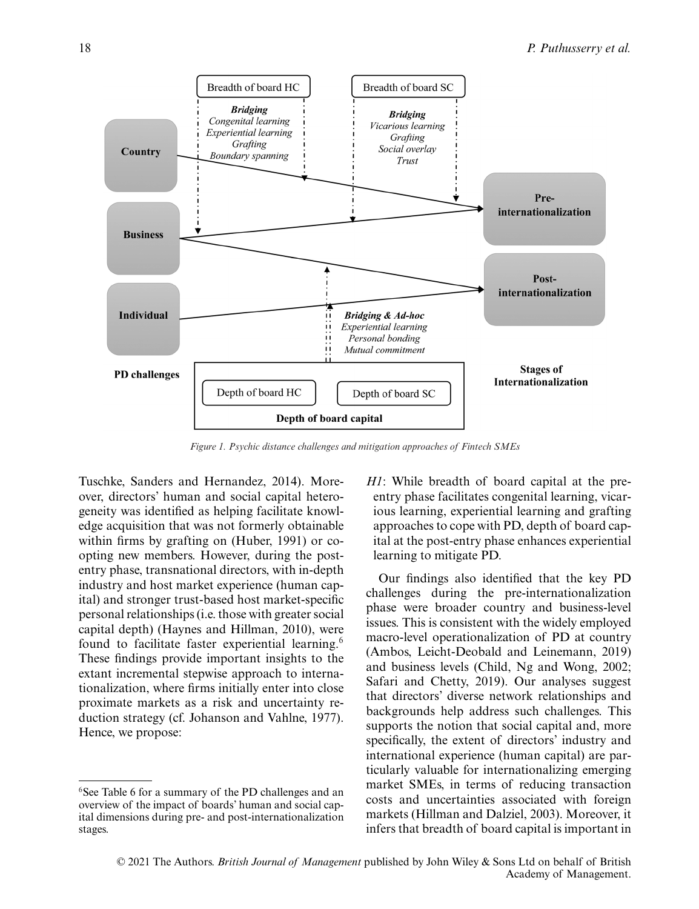

*Figure 1. Psychic distance challenges and mitigation approaches of Fintech SMEs*

Tuschke, Sanders and Hernandez, 2014). Moreover, directors' human and social capital heterogeneity was identified as helping facilitate knowledge acquisition that was not formerly obtainable within firms by grafting on (Huber, 1991) or coopting new members. However, during the postentry phase, transnational directors, with in-depth industry and host market experience (human capital) and stronger trust-based host market-specific personal relationships (i.e. those with greater social capital depth) (Haynes and Hillman, 2010), were found to facilitate faster experiential learning.<sup>6</sup> These findings provide important insights to the extant incremental stepwise approach to internationalization, where firms initially enter into close proximate markets as a risk and uncertainty reduction strategy (cf. Johanson and Vahlne, 1977). Hence, we propose:

*H1*: While breadth of board capital at the preentry phase facilitates congenital learning, vicarious learning, experiential learning and grafting approaches to cope with PD, depth of board capital at the post-entry phase enhances experiential learning to mitigate PD.

Our findings also identified that the key PD challenges during the pre-internationalization phase were broader country and business-level issues. This is consistent with the widely employed macro-level operationalization of PD at country (Ambos, Leicht-Deobald and Leinemann, 2019) and business levels (Child, Ng and Wong, 2002; Safari and Chetty, 2019). Our analyses suggest that directors' diverse network relationships and backgrounds help address such challenges. This supports the notion that social capital and, more specifically, the extent of directors' industry and international experience (human capital) are particularly valuable for internationalizing emerging market SMEs, in terms of reducing transaction costs and uncertainties associated with foreign markets (Hillman and Dalziel, 2003). Moreover, it infers that breadth of board capital is important in

<sup>&</sup>lt;sup>6</sup>See Table 6 for a summary of the PD challenges and an overview of the impact of boards' human and social capital dimensions during pre- and post-internationalization stages.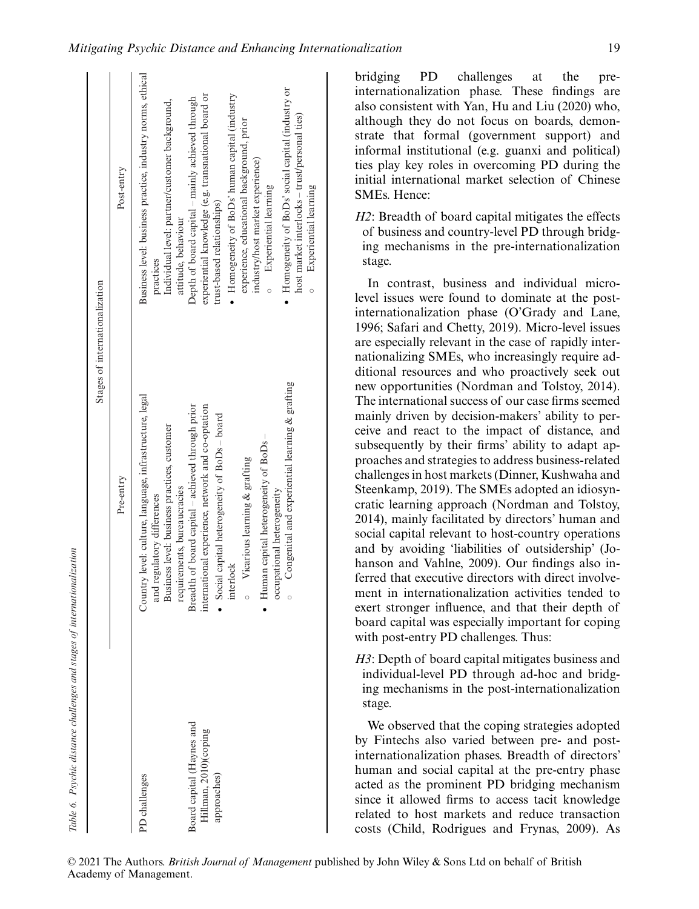| Table 6. Psychic distance challenges and stages of internationalization |                                                                                       |                                                                                                   |
|-------------------------------------------------------------------------|---------------------------------------------------------------------------------------|---------------------------------------------------------------------------------------------------|
|                                                                         |                                                                                       | Stages of internationalization                                                                    |
|                                                                         | Pre-entry                                                                             | Post-entry                                                                                        |
| PD challenges                                                           | Country level: culture, language, infrastructure, legal<br>and regulatory differences | Business level: business practice, industry norms, ethical<br>practices                           |
|                                                                         | Business level: business practices, customer<br>requirements, bureaucracies           | Individual level: partner/customer background,<br>attitude, behaviour                             |
| Board capital (Haynes and                                               | Breadth of board capital - achieved through prior                                     | Depth of board capital - mainly achieved through                                                  |
| Hillman, 2010)(coping                                                   | international experience, network and co-optation                                     | experiential knowledge (e.g. transnational board or<br>trust-based relationships)                 |
| approaches)                                                             | • Social capital heterogeneity of BoDs - board                                        |                                                                                                   |
|                                                                         | Vicarious learning & grafting<br>interlock<br>$\circ$                                 | • Homogeneity of BoDs' human capital (industry<br>experience, educational background, prior       |
|                                                                         | $\bullet$ Human capital heterogeneity of BoDs –<br>occupational heterogeneity         | industry/host market experience)<br>Experiential learning                                         |
|                                                                         | Congenital and experiential learning & grafting<br>$\circ$                            | Homogeneity of BoDs' social capital (industry or<br>host market interlocks - trust/personal ties) |
|                                                                         |                                                                                       | Experiential learning                                                                             |

bridging PD challenges at the preinternationalization phase. These findings are also consistent with Yan, Hu and Liu (2020) who, although they do not focus on boards, demonstrate that formal (government support) and informal institutional (e.g. guanxi and political) ties play key roles in overcoming PD during the initial international market selection of Chinese SMEs. Hence:

*H2*: Breadth of board capital mitigates the effects of business and country-level PD through bridging mechanisms in the pre-internationalization stage.

In contrast, business and individual microlevel issues were found to dominate at the postinternationalization phase (O'Grady and Lane, 1996; Safari and Chetty, 2019). Micro-level issues are especially relevant in the case of rapidly internationalizing SMEs, who increasingly require additional resources and who proactively seek out new opportunities (Nordman and Tolstoy, 2014). The international success of our case firms seemed mainly driven by decision-makers' ability to perceive and react to the impact of distance, and subsequently by their firms' ability to adapt approaches and strategies to address business-related challenges in host markets (Dinner, Kushwaha and Steenkamp, 2019). The SMEs adopted an idiosyncratic learning approach (Nordman and Tolstoy, 2014), mainly facilitated by directors' human and social capital relevant to host-country operations and by avoiding 'liabilities of outsidership' (Johanson and Vahlne, 2009). Our findings also inferred that executive directors with direct involvement in internationalization activities tended to exert stronger influence, and that their depth of board capital was especially important for coping with post-entry PD challenges. Thus:

*H3*: Depth of board capital mitigates business and individual-level PD through ad-hoc and bridging mechanisms in the post-internationalization stage.

We observed that the coping strategies adopted by Fintechs also varied between pre- and postinternationalization phases. Breadth of directors' human and social capital at the pre-entry phase acted as the prominent PD bridging mechanism since it allowed firms to access tacit knowledge related to host markets and reduce transaction costs (Child, Rodrigues and Frynas, 2009). As

© 2021 The Authors. *British Journal of Management* published by John Wiley & Sons Ltd on behalf of British Academy of Management.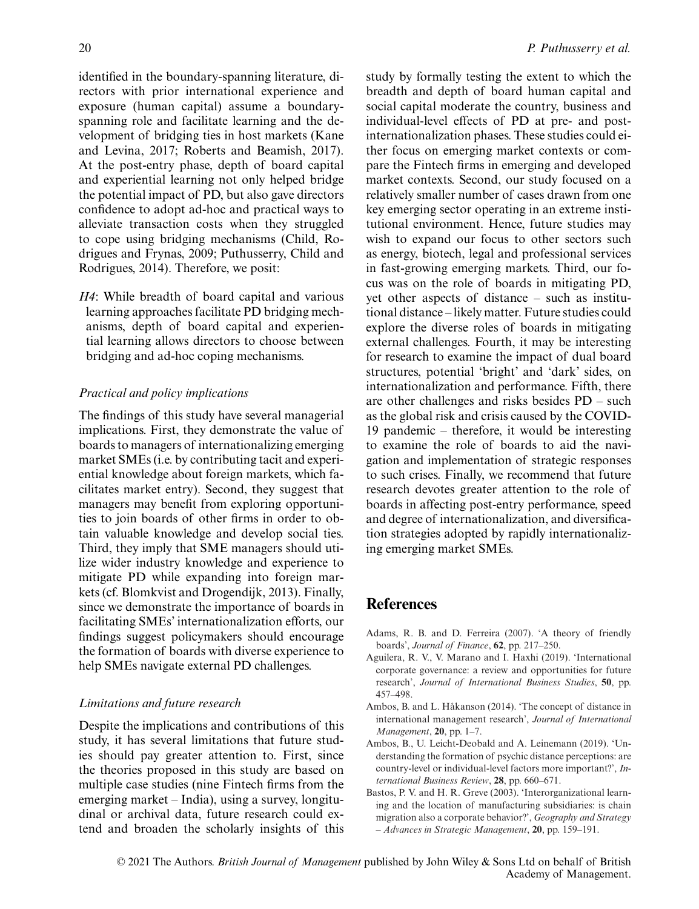identified in the boundary-spanning literature, directors with prior international experience and exposure (human capital) assume a boundaryspanning role and facilitate learning and the development of bridging ties in host markets (Kane and Levina, 2017; Roberts and Beamish, 2017). At the post-entry phase, depth of board capital and experiential learning not only helped bridge the potential impact of PD, but also gave directors confidence to adopt ad-hoc and practical ways to alleviate transaction costs when they struggled to cope using bridging mechanisms (Child, Rodrigues and Frynas, 2009; Puthusserry, Child and Rodrigues, 2014). Therefore, we posit:

*H4*: While breadth of board capital and various learning approaches facilitate PD bridging mechanisms, depth of board capital and experiential learning allows directors to choose between bridging and ad-hoc coping mechanisms.

#### *Practical and policy implications*

The findings of this study have several managerial implications. First, they demonstrate the value of boards to managers of internationalizing emerging market SMEs (i.e. by contributing tacit and experiential knowledge about foreign markets, which facilitates market entry). Second, they suggest that managers may benefit from exploring opportunities to join boards of other firms in order to obtain valuable knowledge and develop social ties. Third, they imply that SME managers should utilize wider industry knowledge and experience to mitigate PD while expanding into foreign markets (cf. Blomkvist and Drogendijk, 2013). Finally, since we demonstrate the importance of boards in facilitating SMEs' internationalization efforts, our findings suggest policymakers should encourage the formation of boards with diverse experience to help SMEs navigate external PD challenges.

#### *Limitations and future research*

Despite the implications and contributions of this study, it has several limitations that future studies should pay greater attention to. First, since the theories proposed in this study are based on multiple case studies (nine Fintech firms from the emerging market – India), using a survey, longitudinal or archival data, future research could extend and broaden the scholarly insights of this study by formally testing the extent to which the breadth and depth of board human capital and social capital moderate the country, business and individual-level effects of PD at pre- and postinternationalization phases. These studies could either focus on emerging market contexts or compare the Fintech firms in emerging and developed market contexts. Second, our study focused on a relatively smaller number of cases drawn from one key emerging sector operating in an extreme institutional environment. Hence, future studies may wish to expand our focus to other sectors such as energy, biotech, legal and professional services in fast-growing emerging markets. Third, our focus was on the role of boards in mitigating PD, yet other aspects of distance – such as institutional distance – likely matter. Future studies could explore the diverse roles of boards in mitigating external challenges. Fourth, it may be interesting for research to examine the impact of dual board structures, potential 'bright' and 'dark' sides, on internationalization and performance. Fifth, there are other challenges and risks besides PD – such as the global risk and crisis caused by the COVID-19 pandemic – therefore, it would be interesting to examine the role of boards to aid the navigation and implementation of strategic responses to such crises. Finally, we recommend that future research devotes greater attention to the role of boards in affecting post-entry performance, speed and degree of internationalization, and diversification strategies adopted by rapidly internationalizing emerging market SMEs.

#### **References**

- Adams, R. B. and D. Ferreira (2007). 'A theory of friendly boards', *Journal of Finance*, **62**, pp. 217–250.
- Aguilera, R. V., V. Marano and I. Haxhi (2019). 'International corporate governance: a review and opportunities for future research', *Journal of International Business Studies*, **50**, pp. 457–498.
- Ambos, B. and L. Håkanson (2014). 'The concept of distance in international management research', *Journal of International Management*, **20**, pp. 1–7.
- Ambos, B., U. Leicht-Deobald and A. Leinemann (2019). 'Understanding the formation of psychic distance perceptions: are country-level or individual-level factors more important?', *International Business Review*, **28**, pp. 660–671.
- Bastos, P. V. and H. R. Greve (2003). 'Interorganizational learning and the location of manufacturing subsidiaries: is chain migration also a corporate behavior?', *Geography and Strategy – Advances in Strategic Management*, **20**, pp. 159–191.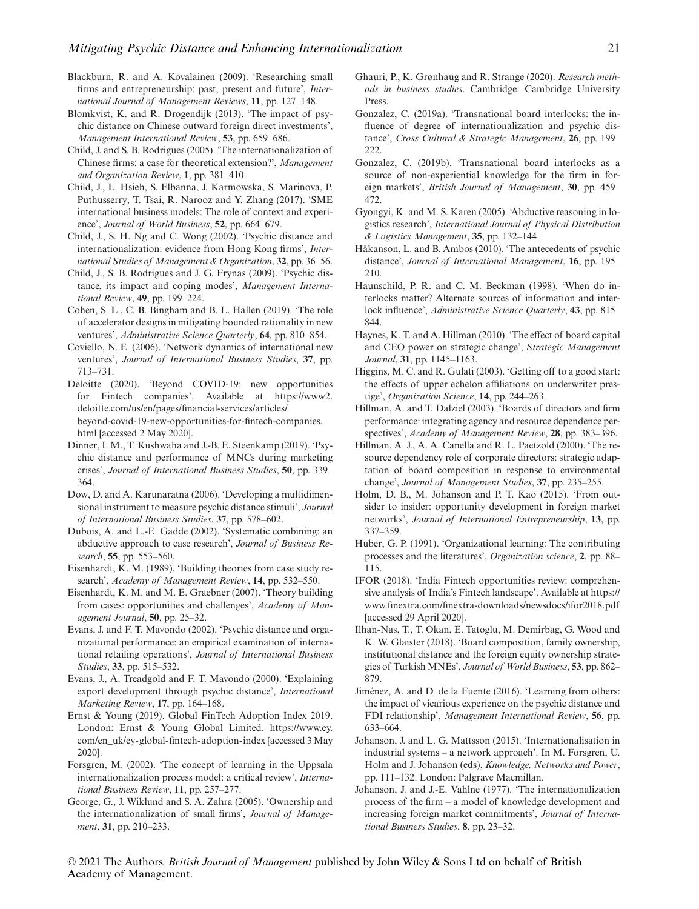- Blackburn, R. and A. Kovalainen (2009). 'Researching small firms and entrepreneurship: past, present and future', *International Journal of Management Reviews*, **11**, pp. 127–148.
- Blomkvist, K. and R. Drogendijk (2013). 'The impact of psychic distance on Chinese outward foreign direct investments', *Management International Review*, **53**, pp. 659–686.
- Child, J. and S. B. Rodrigues (2005). 'The internationalization of Chinese firms: a case for theoretical extension?', *Management and Organization Review*, **1**, pp. 381–410.
- Child, J., L. Hsieh, S. Elbanna, J. Karmowska, S. Marinova, P. Puthusserry, T. Tsai, R. Narooz and Y. Zhang (2017). 'SME international business models: The role of context and experience', *Journal of World Business*, **52**, pp. 664–679.
- Child, J., S. H. Ng and C. Wong (2002). 'Psychic distance and internationalization: evidence from Hong Kong firms', *International Studies of Management & Organization*, **32**, pp. 36–56.
- Child, J., S. B. Rodrigues and J. G. Frynas (2009). 'Psychic distance, its impact and coping modes', *Management International Review*, **49**, pp. 199–224.
- Cohen, S. L., C. B. Bingham and B. L. Hallen (2019). 'The role of accelerator designs in mitigating bounded rationality in new ventures', *Administrative Science Quarterly*, **64**, pp. 810–854.
- Coviello, N. E. (2006). 'Network dynamics of international new ventures', *Journal of International Business Studies*, **37**, pp. 713–731.
- Deloitte (2020). 'Beyond COVID-19: new opportunities for Fintech companies'. Available at [https://www2.](https://www2.deloitte.com/us/en/pages/financial-services/articles/beyond-covid-19-new-opportunities-for-fintech-companies.html) [deloitte.com/us/en/pages/financial-services/articles/](https://www2.deloitte.com/us/en/pages/financial-services/articles/beyond-covid-19-new-opportunities-for-fintech-companies.html) [beyond-covid-19-new-opportunities-for-fintech-companies.](https://www2.deloitte.com/us/en/pages/financial-services/articles/beyond-covid-19-new-opportunities-for-fintech-companies.html) [html](https://www2.deloitte.com/us/en/pages/financial-services/articles/beyond-covid-19-new-opportunities-for-fintech-companies.html) [accessed 2 May 2020].
- Dinner, I. M., T. Kushwaha and J.-B. E. Steenkamp (2019). 'Psychic distance and performance of MNCs during marketing crises', *Journal of International Business Studies*, **50**, pp. 339– 364.
- Dow, D. and A. Karunaratna (2006). 'Developing a multidimensional instrument to measure psychic distance stimuli', *Journal of International Business Studies*, **37**, pp. 578–602.
- Dubois, A. and L.-E. Gadde (2002). 'Systematic combining: an abductive approach to case research', *Journal of Business Research*, **55**, pp. 553–560.
- Eisenhardt, K. M. (1989). 'Building theories from case study research', *Academy of Management Review*, **14**, pp. 532–550.
- Eisenhardt, K. M. and M. E. Graebner (2007). 'Theory building from cases: opportunities and challenges', *Academy of Management Journal*, **50**, pp. 25–32.
- Evans, J. and F. T. Mavondo (2002). 'Psychic distance and organizational performance: an empirical examination of international retailing operations', *Journal of International Business Studies*, **33**, pp. 515–532.
- Evans, J., A. Treadgold and F. T. Mavondo (2000). 'Explaining export development through psychic distance', *International Marketing Review*, **17**, pp. 164–168.
- Ernst & Young (2019). Global FinTech Adoption Index 2019. London: Ernst & Young Global Limited. [https://www.ey.](https://www.ey.com/en_uk/ey-global-fintech-adoption-index) [com/en\\_uk/ey-global-fintech-adoption-index](https://www.ey.com/en_uk/ey-global-fintech-adoption-index) [accessed 3 May 2020].
- Forsgren, M. (2002). 'The concept of learning in the Uppsala internationalization process model: a critical review', *International Business Review*, **11**, pp. 257–277.
- George, G., J. Wiklund and S. A. Zahra (2005). 'Ownership and the internationalization of small firms', *Journal of Management*, **31**, pp. 210–233.
- Ghauri, P., K. Grønhaug and R. Strange (2020). *Research methods in business studies*. Cambridge: Cambridge University Press.
- Gonzalez, C. (2019a). 'Transnational board interlocks: the influence of degree of internationalization and psychic distance', *Cross Cultural & Strategic Management*, **26**, pp. 199– 222.
- Gonzalez, C. (2019b). 'Transnational board interlocks as a source of non-experiential knowledge for the firm in foreign markets', *British Journal of Management*, **30**, pp. 459– 472.
- Gyongyi, K. and M. S. Karen (2005). 'Abductive reasoning in logistics research', *International Journal of Physical Distribution & Logistics Management*, **35**, pp. 132–144.
- Håkanson, L. and B. Ambos (2010). 'The antecedents of psychic distance', *Journal of International Management*, **16**, pp. 195– 210.
- Haunschild, P. R. and C. M. Beckman (1998). 'When do interlocks matter? Alternate sources of information and interlock influence', *Administrative Science Quarterly*, **43**, pp. 815– 844.
- Haynes, K. T. and A. Hillman (2010). 'The effect of board capital and CEO power on strategic change', *Strategic Management Journal*, **31**, pp. 1145–1163.
- Higgins, M. C. and R. Gulati (2003). 'Getting off to a good start: the effects of upper echelon affiliations on underwriter prestige', *Organization Science*, **14**, pp. 244–263.
- Hillman, A. and T. Dalziel (2003). 'Boards of directors and firm performance: integrating agency and resource dependence perspectives', *Academy of Management Review*, **28**, pp. 383–396.
- Hillman, A. J., A. A. Canella and R. L. Paetzold (2000). 'The resource dependency role of corporate directors: strategic adaptation of board composition in response to environmental change', *Journal of Management Studies*, **37**, pp. 235–255.
- Holm, D. B., M. Johanson and P. T. Kao (2015). 'From outsider to insider: opportunity development in foreign market networks', *Journal of International Entrepreneurship*, **13**, pp. 337–359.
- Huber, G. P. (1991). 'Organizational learning: The contributing processes and the literatures', *Organization science*, **2**, pp. 88– 115.
- IFOR (2018). 'India Fintech opportunities review: comprehensive analysis of India's Fintech landscape'. Available at [https://](https://www.finextra.com/finextra-downloads/newsdocs/ifor2018.pdf) [www.finextra.com/finextra-downloads/newsdocs/ifor2018.pdf](https://www.finextra.com/finextra-downloads/newsdocs/ifor2018.pdf) [accessed 29 April 2020].
- Ilhan-Nas, T., T. Okan, E. Tatoglu, M. Demirbag, G. Wood and K. W. Glaister (2018). 'Board composition, family ownership, institutional distance and the foreign equity ownership strategies of Turkish MNEs', *Journal of World Business*, **53**, pp. 862– 879.
- Jiménez, A. and D. de la Fuente (2016). 'Learning from others: the impact of vicarious experience on the psychic distance and FDI relationship', *Management International Review*, **56**, pp. 633–664.
- Johanson, J. and L. G. Mattsson (2015). 'Internationalisation in industrial systems – a network approach'. In M. Forsgren, U. Holm and J. Johanson (eds), *Knowledge, Networks and Power*, pp. 111–132. London: Palgrave Macmillan.
- Johanson, J. and J.-E. Vahlne (1977). 'The internationalization process of the firm – a model of knowledge development and increasing foreign market commitments', *Journal of International Business Studies*, **8**, pp. 23–32.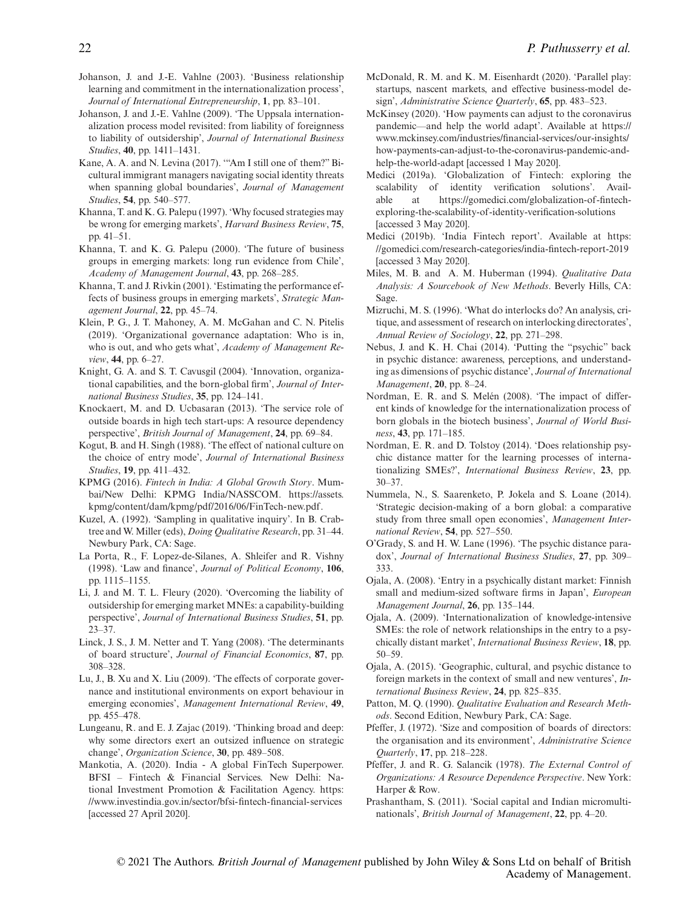- Johanson, J. and J.-E. Vahlne (2003). 'Business relationship learning and commitment in the internationalization process', *Journal of International Entrepreneurship*, **1**, pp. 83–101.
- Johanson, J. and J.-E. Vahlne (2009). 'The Uppsala internationalization process model revisited: from liability of foreignness to liability of outsidership', *Journal of International Business Studies*, **40**, pp. 1411–1431.
- Kane, A. A. and N. Levina (2017). '"Am I still one of them?" Bicultural immigrant managers navigating social identity threats when spanning global boundaries', *Journal of Management Studies*, **54**, pp. 540–577.
- Khanna, T. and K. G. Palepu (1997). 'Why focused strategies may be wrong for emerging markets', *Harvard Business Review*, **75**, pp. 41–51.
- Khanna, T. and K. G. Palepu (2000). 'The future of business groups in emerging markets: long run evidence from Chile', *Academy of Management Journal*, **43**, pp. 268–285.
- Khanna, T. and J. Rivkin (2001). 'Estimating the performance effects of business groups in emerging markets', *Strategic Management Journal*, **22**, pp. 45–74.
- Klein, P. G., J. T. Mahoney, A. M. McGahan and C. N. Pitelis (2019). 'Organizational governance adaptation: Who is in, who is out, and who gets what', *Academy of Management Review*, **44**, pp. 6–27.
- Knight, G. A. and S. T. Cavusgil (2004). 'Innovation, organizational capabilities, and the born-global firm', *Journal of International Business Studies*, **35**, pp. 124–141.
- Knockaert, M. and D. Ucbasaran (2013). 'The service role of outside boards in high tech start-ups: A resource dependency perspective', *British Journal of Management*, **24**, pp. 69–84.
- Kogut, B. and H. Singh (1988). 'The effect of national culture on the choice of entry mode', *Journal of International Business Studies*, **19**, pp. 411–432.
- KPMG (2016). *Fintech in India: A Global Growth Story*. Mumbai/New Delhi: KPMG India/NASSCOM. [https://assets.](https://assets.kpmg/content/dam/kpmg/pdf/2016/06/FinTech-new.pdf) [kpmg/content/dam/kpmg/pdf/2016/06/FinTech-new.pdf.](https://assets.kpmg/content/dam/kpmg/pdf/2016/06/FinTech-new.pdf)
- Kuzel, A. (1992). 'Sampling in qualitative inquiry'. In B. Crabtree and W. Miller (eds), *Doing Qualitative Research*, pp. 31–44. Newbury Park, CA: Sage.
- La Porta, R., F. Lopez-de-Silanes, A. Shleifer and R. Vishny (1998). 'Law and finance', *Journal of Political Economy*, **106**, pp. 1115–1155.
- Li, J. and M. T. L. Fleury (2020). 'Overcoming the liability of outsidership for emerging market MNEs: a capability-building perspective', *Journal of International Business Studies*, **51**, pp. 23–37.
- Linck, J. S., J. M. Netter and T. Yang (2008). 'The determinants of board structure', *Journal of Financial Economics*, **87**, pp. 308–328.
- Lu, J., B. Xu and X. Liu (2009). 'The effects of corporate governance and institutional environments on export behaviour in emerging economies', *Management International Review*, **49**, pp. 455–478.
- Lungeanu, R. and E. J. Zajac (2019). 'Thinking broad and deep: why some directors exert an outsized influence on strategic change', *Organization Science*, **30**, pp. 489–508.
- Mankotia, A. (2020). India A global FinTech Superpower. BFSI – Fintech & Financial Services. New Delhi: National Investment Promotion & Facilitation Agency. [https:](https://www.investindia.gov.in/sector/bfsi-fintech-financial-services) [//www.investindia.gov.in/sector/bfsi-fintech-financial-services](https://www.investindia.gov.in/sector/bfsi-fintech-financial-services) [accessed 27 April 2020].
- McDonald, R. M. and K. M. Eisenhardt (2020). 'Parallel play: startups, nascent markets, and effective business-model design', *Administrative Science Quarterly*, **65**, pp. 483–523.
- McKinsey (2020). 'How payments can adjust to the coronavirus pandemic—and help the world adapt'. Available at [https://](https://www.mckinsey.com/industries/financial-services/our-insights/how-payments-can-adjust-to-the-coronavirus-pandemic-and-help-the-world-adapt) [www.mckinsey.com/industries/financial-services/our-insights/](https://www.mckinsey.com/industries/financial-services/our-insights/how-payments-can-adjust-to-the-coronavirus-pandemic-and-help-the-world-adapt) [how-payments-can-adjust-to-the-coronavirus-pandemic-and](https://www.mckinsey.com/industries/financial-services/our-insights/how-payments-can-adjust-to-the-coronavirus-pandemic-and-help-the-world-adapt)[help-the-world-adapt](https://www.mckinsey.com/industries/financial-services/our-insights/how-payments-can-adjust-to-the-coronavirus-pandemic-and-help-the-world-adapt) [accessed 1 May 2020].
- Medici (2019a). 'Globalization of Fintech: exploring the scalability of identity verification solutions'. Available at [https://gomedici.com/globalization-of-fintech](https://gomedici.com/globalization-of-fintech-exploring-the-scalability-of-identity-verification-solutions)[exploring-the-scalability-of-identity-verification-solutions](https://gomedici.com/globalization-of-fintech-exploring-the-scalability-of-identity-verification-solutions) [accessed 3 May 2020].
- Medici (2019b). 'India Fintech report'. Available at [https:](https://gomedici.com/research-categories/india-fintech-report-2019) [//gomedici.com/research-categories/india-fintech-report-2019](https://gomedici.com/research-categories/india-fintech-report-2019) [accessed 3 May 2020].
- Miles, M. B. and A. M. Huberman (1994). *Qualitative Data Analysis: A Sourcebook of New Methods*. Beverly Hills, CA: Sage.
- Mizruchi, M. S. (1996). 'What do interlocks do? An analysis, critique, and assessment of research on interlocking directorates', *Annual Review of Sociology*, **22**, pp. 271–298.
- Nebus, J. and K. H. Chai (2014). 'Putting the "psychic" back in psychic distance: awareness, perceptions, and understanding as dimensions of psychic distance', *Journal of International Management*, **20**, pp. 8–24.
- Nordman, E. R. and S. Melén (2008). 'The impact of different kinds of knowledge for the internationalization process of born globals in the biotech business', *Journal of World Business*, **43**, pp. 171–185.
- Nordman, E. R. and D. Tolstoy (2014). 'Does relationship psychic distance matter for the learning processes of internationalizing SMEs?', *International Business Review*, **23**, pp. 30–37.
- Nummela, N., S. Saarenketo, P. Jokela and S. Loane (2014). 'Strategic decision-making of a born global: a comparative study from three small open economies', *Management International Review*, **54**, pp. 527–550.
- O'Grady, S. and H. W. Lane (1996). 'The psychic distance paradox', *Journal of International Business Studies*, **27**, pp. 309– 333.
- Ojala, A. (2008). 'Entry in a psychically distant market: Finnish small and medium-sized software firms in Japan', *European Management Journal*, **26**, pp. 135–144.
- Ojala, A. (2009). 'Internationalization of knowledge-intensive SMEs: the role of network relationships in the entry to a psychically distant market', *International Business Review*, **18**, pp. 50–59.
- Ojala, A. (2015). 'Geographic, cultural, and psychic distance to foreign markets in the context of small and new ventures', *International Business Review*, **24**, pp. 825–835.
- Patton, M. Q. (1990). *Qualitative Evaluation and Research Methods*. Second Edition, Newbury Park, CA: Sage.
- Pfeffer, J. (1972). 'Size and composition of boards of directors: the organisation and its environment', *Administrative Science Quarterly*, **17**, pp. 218–228.
- Pfeffer, J. and R. G. Salancik (1978). *The External Control of Organizations: A Resource Dependence Perspective*. New York: Harper & Row.
- Prashantham, S. (2011). 'Social capital and Indian micromultinationals', *British Journal of Management*, **22**, pp. 4–20.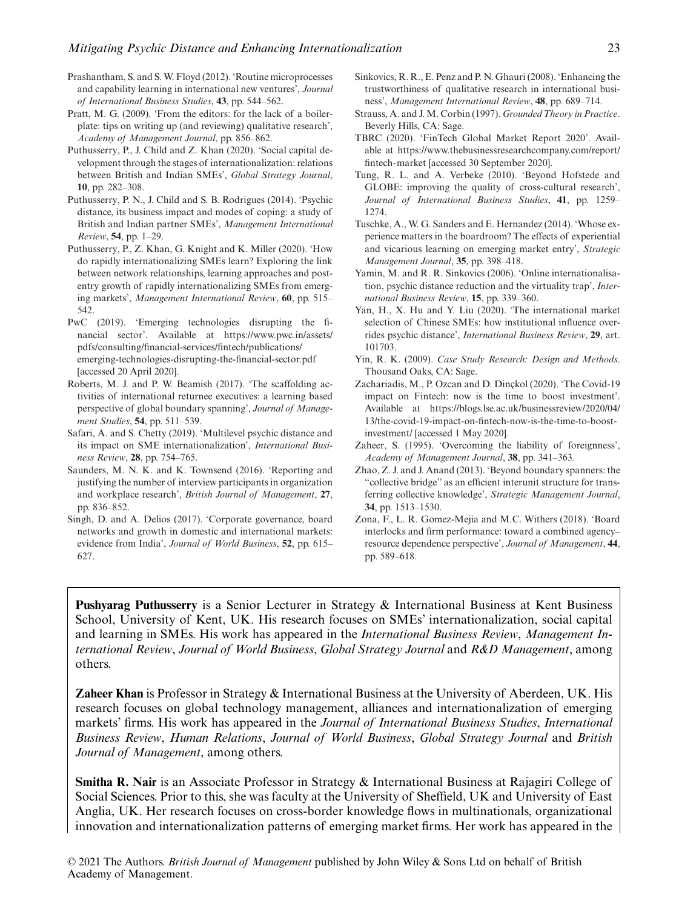- Prashantham, S. and S. W. Floyd (2012). 'Routine microprocesses and capability learning in international new ventures', *Journal of International Business Studies*, **43**, pp. 544–562.
- Pratt, M. G. (2009). 'From the editors: for the lack of a boilerplate: tips on writing up (and reviewing) qualitative research', *Academy of Management Journal*, pp. 856–862.
- Puthusserry, P., J. Child and Z. Khan (2020). 'Social capital development through the stages of internationalization: relations between British and Indian SMEs', *Global Strategy Journal*, **10**, pp. 282–308.
- Puthusserry, P. N., J. Child and S. B. Rodrigues (2014). 'Psychic distance, its business impact and modes of coping: a study of British and Indian partner SMEs', *Management International Review*, **54**, pp. 1–29.
- Puthusserry, P., Z. Khan, G. Knight and K. Miller (2020). 'How do rapidly internationalizing SMEs learn? Exploring the link between network relationships, learning approaches and postentry growth of rapidly internationalizing SMEs from emerging markets', *Management International Review*, **60**, pp. 515– 542.
- PwC (2019). 'Emerging technologies disrupting the financial sector'. Available at [https://www.pwc.in/assets/](https://www.pwc.in/assets/pdfs/consulting/financial-services/fintech/publications/emerging-technologies-disrupting-the-financial-sector.pdf) [pdfs/consulting/financial-services/fintech/publications/](https://www.pwc.in/assets/pdfs/consulting/financial-services/fintech/publications/emerging-technologies-disrupting-the-financial-sector.pdf) [emerging-technologies-disrupting-the-financial-sector.pdf](https://www.pwc.in/assets/pdfs/consulting/financial-services/fintech/publications/emerging-technologies-disrupting-the-financial-sector.pdf) [accessed 20 April 2020].
- Roberts, M. J. and P. W. Beamish (2017). 'The scaffolding activities of international returnee executives: a learning based perspective of global boundary spanning', *Journal of Management Studies*, **54**, pp. 511–539.
- Safari, A. and S. Chetty (2019). 'Multilevel psychic distance and its impact on SME internationalization', *International Business Review*, **28**, pp. 754–765.
- Saunders, M. N. K. and K. Townsend (2016). 'Reporting and justifying the number of interview participants in organization and workplace research', *British Journal of Management*, **27**, pp. 836–852.
- Singh, D. and A. Delios (2017). 'Corporate governance, board networks and growth in domestic and international markets: evidence from India', *Journal of World Business*, **52**, pp. 615– 627.
- Sinkovics, R. R., E. Penz and P. N. Ghauri (2008). 'Enhancing the trustworthiness of qualitative research in international business', *Management International Review*, **48**, pp. 689–714.
- Strauss, A. and J. M. Corbin (1997). *Grounded Theory in Practice*. Beverly Hills, CA: Sage.
- TBRC (2020). 'FinTech Global Market Report 2020'. Available at [https://www.thebusinessresearchcompany.com/report/](https://www.thebusinessresearchcompany.com/report/fintech-market) [fintech-market](https://www.thebusinessresearchcompany.com/report/fintech-market) [accessed 30 September 2020].
- Tung, R. L. and A. Verbeke (2010). 'Beyond Hofstede and GLOBE: improving the quality of cross-cultural research', *Journal of International Business Studies*, **41**, pp. 1259– 1274.
- Tuschke, A., W. G. Sanders and E. Hernandez (2014). 'Whose experience matters in the boardroom? The effects of experiential and vicarious learning on emerging market entry', *Strategic Management Journal*, **35**, pp. 398–418.
- Yamin, M. and R. R. Sinkovics (2006). 'Online internationalisation, psychic distance reduction and the virtuality trap', *International Business Review*, **15**, pp. 339–360.
- Yan, H., X. Hu and Y. Liu (2020). 'The international market selection of Chinese SMEs: how institutional influence overrides psychic distance', *International Business Review*, **29**, art. 101703.
- Yin, R. K. (2009). *Case Study Research: Design and Methods*. Thousand Oaks, CA: Sage.
- Zachariadis, M., P. Ozcan and D. Dinçkol (2020). 'The Covid-19 impact on Fintech: now is the time to boost investment'. Available at [https://blogs.lse.ac.uk/businessreview/2020/04/](https://blogs.lse.ac.uk/businessreview/2020/04/13/the-covid-19-impact-on-fintech-now-is-the-time-to-boost-investment/) [13/the-covid-19-impact-on-fintech-now-is-the-time-to-boost](https://blogs.lse.ac.uk/businessreview/2020/04/13/the-covid-19-impact-on-fintech-now-is-the-time-to-boost-investment/)[investment/](https://blogs.lse.ac.uk/businessreview/2020/04/13/the-covid-19-impact-on-fintech-now-is-the-time-to-boost-investment/) [accessed 1 May 2020].
- Zaheer, S. (1995). 'Overcoming the liability of foreignness', *Academy of Management Journal*, **38**, pp. 341–363.
- Zhao, Z. J. and J. Anand (2013). 'Beyond boundary spanners: the "collective bridge" as an efficient interunit structure for transferring collective knowledge', *Strategic Management Journal*, **34**, pp. 1513–1530.
- Zona, F., L. R. Gomez-Mejia and M.C. Withers (2018). 'Board interlocks and firm performance: toward a combined agency– resource dependence perspective', *Journal of Management*, **44**, pp. 589–618.

**Pushyarag Puthusserry** is a Senior Lecturer in Strategy & International Business at Kent Business School, University of Kent, UK. His research focuses on SMEs' internationalization, social capital and learning in SMEs. His work has appeared in the *International Business Review*, *Management International Review*, *Journal of World Business*, *Global Strategy Journal* and *R&D Management*, among others.

**Zaheer Khan** is Professor in Strategy & International Business at the University of Aberdeen, UK. His research focuses on global technology management, alliances and internationalization of emerging markets' firms. His work has appeared in the *Journal of International Business Studies*, *International Business Review*, *Human Relations*, *Journal of World Business*, *Global Strategy Journal* and *British Journal of Management*, among others.

**Smitha R. Nair** is an Associate Professor in Strategy & International Business at Rajagiri College of Social Sciences. Prior to this, she was faculty at the University of Sheffield, UK and University of East Anglia, UK. Her research focuses on cross-border knowledge flows in multinationals, organizational innovation and internationalization patterns of emerging market firms. Her work has appeared in the